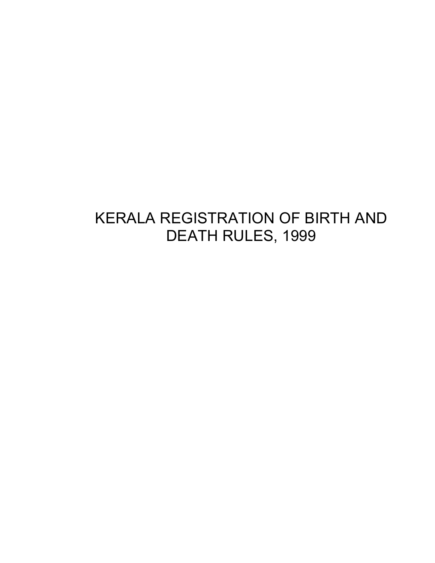# KERALA REGISTRATION OF BIRTH AND DEATH RULES, 1999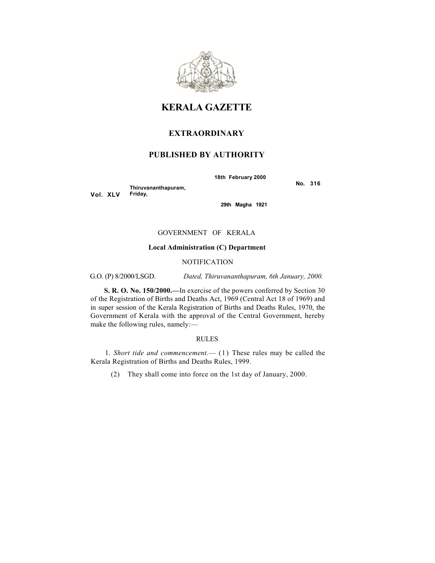

### **KERALA GAZETTE**

### **EXTRAORDINARY**

### **PUBLISHED BY AUTHORITY**

**18th February 2000**

**Vol. XLV Thiruvananthapuram,**

**Friday,**

 **No. 316**

**29th Magha 1921** 

#### GOVERNMENT OF KERALA

#### **Local Administration (C) Department**

### NOTIFICATION

G.O. (P) 8/2000/LSGD. *Dated, Thiruvananthapuram, 6th January, 2000.*

**S. R. O. No. 150/2000.—**In exercise of the powers conferred by Section 30 of the Registration of Births and Deaths Act, 1969 (Central Act 18 of 1969) and in super session of the Kerala Registration of Births and Deaths Rules, 1970, the Government of Kerala with the approval of the Central Government, hereby make the following rules, namely:—

#### RULES

1. *Short tide and commencement.*— (1) These rules may be called the Kerala Registration of Births and Deaths Rules, 1999.

(2) They shall come into force on the 1st day of January, 2000.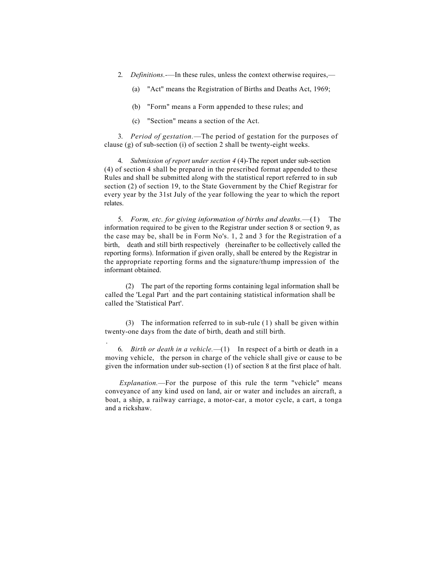- 2. *Definitions.-*—In these rules, unless the context otherwise requires,—
	- (a) "Act" means the Registration of Births and Deaths Act, 1969;
	- (b) "Form" means a Form appended to these rules; and
	- (c) "Section" means a section of the Act.

3. *Period of gestation.*—The period of gestation for the purposes of clause (g) of sub-section (i) of section 2 shall be twenty-eight weeks.

4. *Submission of report under section 4* (4)-The report under sub-section (4) of section 4 shall be prepared in the prescribed format appended to these Rules and shall be submitted along with the statistical report referred to in sub section (2) of section 19, to the State Government by the Chief Registrar for every year by the 31st July of the year following the year to which the report relates.

5. *Form, etc. for giving information of births and deaths.*—(I) The information required to be given to the Registrar under section 8 or section 9, as the case may be, shall be in Form No's. 1, 2 and 3 for the Registration of a birth, death and still birth respectively (hereinafter to be collectively called the reporting forms). Information if given orally, shall be entered by the Registrar in the appropriate reporting forms and the signature/thump impression of the informant obtained.

(2) The part of the reporting forms containing legal information shall be called the 'Legal Part<sup>'</sup> and the part containing statistical information shall be called the 'Statistical Part'.

(3) The information referred to in sub-rule (1) shall be given within twenty-one days from the date of birth, death and still birth.

.

6. *Birth or death in a vehicle.*—(1) In respect of a birth or death in a moving vehicle, the person in charge of the vehicle shall give or cause to be given the information under sub-section (1) of section 8 at the first place of halt.

*Explanation.*—For the purpose of this rule the term "vehicle" means conveyance of any kind used on land, air or water and includes an aircraft, a boat, a ship, a railway carriage, a motor-car, a motor cycle, a cart, a tonga and a rickshaw.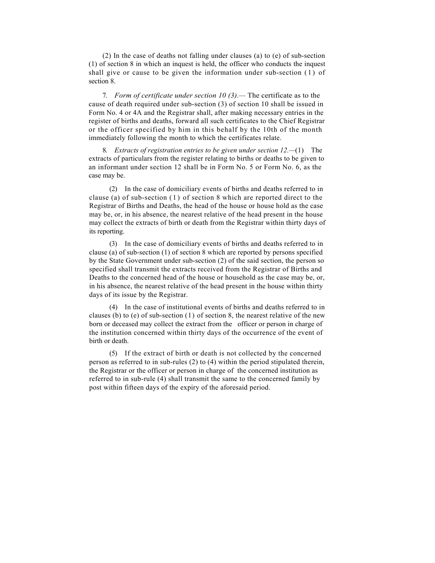(2) In the case of deaths not falling under clauses (a) to (e) of sub-section (1) of section 8 in which an inquest is held, the officer who conducts the inquest shall give or cause to be given the information under sub-section (1) of section 8.

7. *Form of certificate under section 10 (3).—* The certificate as to the cause of death required under sub-section (3) of section 10 shall be issued in Form No. 4 or 4A and the Registrar shall, after making necessary entries in the register of births and deaths, forward all such certificates to the Chief Registrar or the officer specified by him in this behalf by the 10th of the month immediately following the month to which the certificates relate.

8. *Extracts of registration entries to be given under section 12.—*(1) The extracts of particulars from the register relating to births or deaths to be given to an informant under section 12 shall be in Form No. 5 or Form No. 6, as the case may be.

(2) In the case of domiciliary events of births and deaths referred to in clause (a) of sub-section  $(1)$  of section 8 which are reported direct to the Registrar of Births and Deaths, the head of the house or house hold as the case may be, or, in his absence, the nearest relative of the head present in the house may collect the extracts of birth or death from the Registrar within thirty days of its reporting.

(3) In the case of domiciliary events of births and deaths referred to in clause (a) of sub-section (1) of section 8 which are reported by persons specified by the State Government under sub-section (2) of the said section, the person so specified shall transmit the extracts received from the Registrar of Births and Deaths to the concerned head of the house or household as the case may be, or, in his absence, the nearest relative of the head present in the house within thirty days of its issue by the Registrar.

(4) In the case of institutional events of births and deaths referred to in clauses (b) to (e) of sub-section  $(1)$  of section 8, the nearest relative of the new born or deceased may collect the extract from the officer or person in charge of the institution concerned within thirty days of the occurrence of the event of birth or death.

(5) If the extract of birth or death is not collected by the concerned person as referred to in sub-rules (2) to (4) within the period stipulated therein, the Registrar or the officer or person in charge of the concerned institution as referred to in sub-rule (4) shall transmit the same to the concerned family by post within fifteen days of the expiry of the aforesaid period.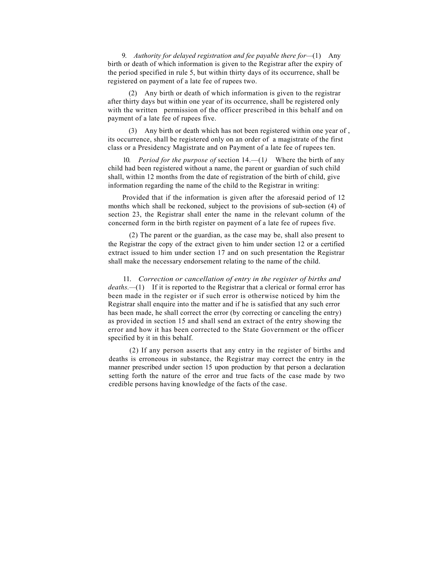9. *Authority for delayed registration and fee payable there for—*(1) Any birth or death of which information is given to the Registrar after the expiry of the period specified in rule 5, but within thirty days of its occurrence, shall be registered on payment of a late fee of rupees two.

(2) Any birth or death of which information is given to the registrar after thirty days but within one year of its occurrence, shall be registered only with the written permission of the officer prescribed in this behalf and on payment of a late fee of rupees five.

(3) Any birth or death which has not been registered within one year of , its occurrence, shall be registered only on an order of a magistrate of the first class or a Presidency Magistrate and on Payment of a late fee of rupees ten.

10. *Period for the purpose of* section 14.—(1*)* Where the birth of any child had been registered without a name, the parent or guardian of such child shall, within 12 months from the date of registration of the birth of child, give information regarding the name of the child to the Registrar in writing:

Provided that if the information is given after the aforesaid period of 12 months which shall be reckoned, subject to the provisions of sub-section (4) of section 23, the Registrar shall enter the name in the relevant column of the concerned form in the birth register on payment of a late fee of rupees five.

(2) The parent or the guardian, as the case may be, shall also present to the Registrar the copy of the extract given to him under section 12 or a certified extract issued to him under section 17 and on such presentation the Registrar shall make the necessary endorsement relating to the name of the child.

11. *Correction or cancellation of entry in the register of births and deaths.—*(1) If it is reported to the Registrar that a clerical or formal error has been made in the register or if such error is otherwise noticed by him the Registrar shall enquire into the matter and if he is satisfied that any such error has been made, he shall correct the error (by correcting or canceling the entry) as provided in section 15 and shall send an extract of the entry showing the error and how it has been corrected to the State Government or the officer specified by it in this behalf.

(2) If any person asserts that any entry in the register of births and deaths is erroneous in substance, the Registrar may correct the entry in the manner prescribed under section 15 upon production by that person a declaration setting forth the nature of the error and true facts of the case made by two credible persons having knowledge of the facts of the case.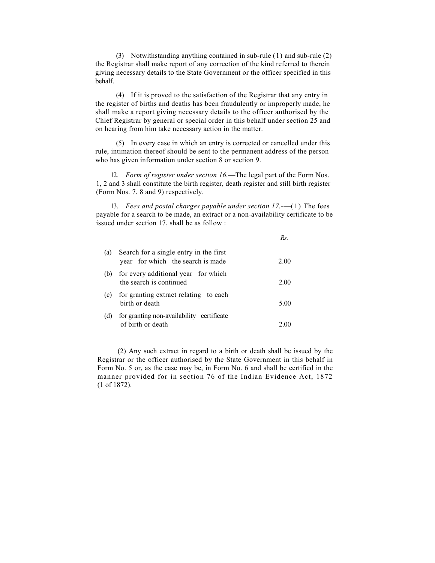(3) Notwithstanding anything contained in sub-rule (1) and sub-rule (2) the Registrar shall make report of any correction of the kind referred to therein giving necessary details to the State Government or the officer specified in this behalf.

(4) If it is proved to the satisfaction of the Registrar that any entry in the register of births and deaths has been fraudulently or improperly made, he shall make a report giving necessary details to the officer authorised by the Chief Registrar by general or special order in this behalf under section 25 and on hearing from him take necessary action in the matter.

(5) In every case in which an entry is corrected or cancelled under this rule, intimation thereof should be sent to the permanent address of the person who has given information under section 8 or section 9.

12. *Form of register under section 16.*—The legal part of the Form Nos. 1, 2 and 3 shall constitute the birth register, death register and still birth register (Form Nos. 7, 8 and 9) respectively.

13. *Fees and postal charges payable under section 17.-*—(1) The fees payable for a search to be made, an extract or a non-availability certificate to be issued under section 17, shall be as follow :

|     |                                                                             | Rs.  |
|-----|-----------------------------------------------------------------------------|------|
| (a) | Search for a single entry in the first<br>year for which the search is made | 2.00 |
| (b) | for every additional year for which<br>the search is continued              | 2.00 |
| (c) | for granting extract relating to each<br>birth or death                     | 5.00 |
| (d) | for granting non-availability certificate<br>of birth or death              |      |

(2) Any such extract in regard to a birth or death shall be issued by the Registrar or the officer authorised by the State Government in this behalf in Form No. 5 or, as the case may be, in Form No. 6 and shall be certified in the manner provided for in section 76 of the Indian Evidence Act, 1872 (1 of 1872).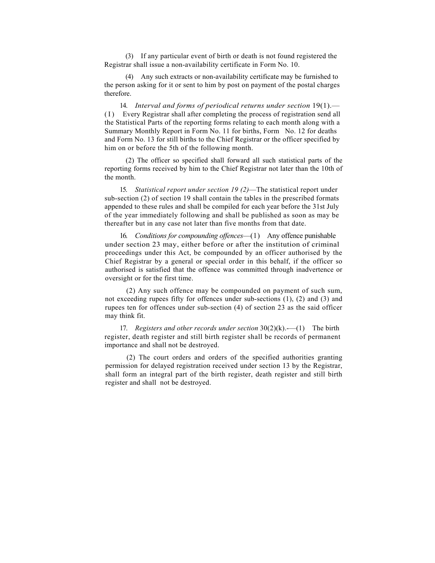(3) If any particular event of birth or death is not found registered the Registrar shall issue a non-availability certificate in Form No. 10.

(4) Any such extracts or non-availability certificate may be furnished to the person asking for it or sent to him by post on payment of the postal charges therefore.

14. *Interval and forms of periodical returns under section* 19(1).— (I) Every Registrar shall after completing the process of registration send all the Statistical Parts of the reporting forms relating to each month along with a Summary Monthly Report in Form No. 11 for births, Form No. 12 for deaths and Form No. 13 for still births to the Chief Registrar or the officer specified by him on or before the 5th of the following month.

(2) The officer so specified shall forward all such statistical parts of the reporting forms received by him to the Chief Registrar not later than the 10th of the month.

15. *Statistical report under section 19 (2)*—The statistical report under sub-section (2) of section 19 shall contain the tables in the prescribed formats appended to these rules and shall be compiled for each year before the 31st July of the year immediately following and shall be published as soon as may be thereafter but in any case not later than five months from that date.

16. *Conditions for compounding offences*—(1) Any offence punishable under section 23 may, either before or after the institution of criminal proceedings under this Act, be compounded by an officer authorised by the Chief Registrar by a general or special order in this behalf, if the officer so authorised is satisfied that the offence was committed through inadvertence or oversight or for the first time.

(2) Any such offence may be compounded on payment of such sum, not exceeding rupees fifty for offences under sub-sections (1), (2) and (3) and rupees ten for offences under sub-section (4) of section 23 as the said officer may think fit.

17. *Registers and other records under section* 30(2)(k).-—(1) The birth register, death register and still birth register shall be records of permanent importance and shall not be destroyed.

(2) The court orders and orders of the specified authorities granting permission for delayed registration received under section 13 by the Registrar, shall form an integral part of the birth register, death register and still birth register and shall not be destroyed.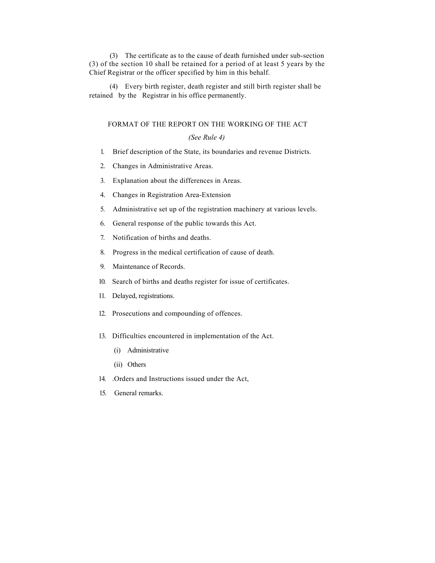(3) The certificate as to the cause of death furnished under sub-section (3) of the section 10 shall be retained for a period of at least 5 years by the Chief Registrar or the officer specified by him in this behalf.

(4) Every birth register, death register and still birth register shall be retained by the Registrar in his office permanently.

#### FORMAT OF THE REPORT ON THE WORKING OF THE ACT

### *(See Rule 4)*

- 1. Brief description of the State, its boundaries and revenue Districts.
- 2. Changes in Administrative Areas.
- 3. Explanation about the differences in Areas.
- 4. Changes in Registration Area-Extension
- 5. Administrative set up of the registration machinery at various levels.
- 6. General response of the public towards this Act.
- 7. Notification of births and deaths.
- 8. Progress in the medical certification of cause of death.
- 9. Maintenance of Records.
- 10. Search of births and deaths register for issue of certificates.
- 11. Delayed, registrations.
- 12. Prosecutions and compounding of offences.
- 13. Difficulties encountered in implementation of the Act.
	- (i) Administrative
	- (ii) Others
- 14. .Orders and Instructions issued under the Act,
- 15. General remarks.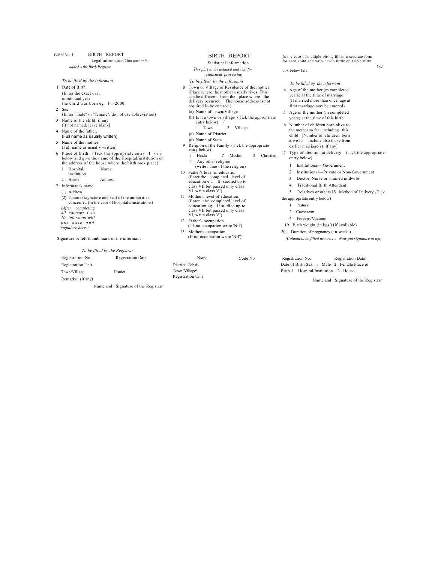FORM No 1 BIRTH REPORT Legal information *Thin part to be added o the Birth Register To be filed by the informant*  I. Date of Birth (Enter the exact day. month and year the child was born eg l-1-2000 2 Sex (Enter "male" or "female", do not use abbreviation) 3 Name of the child, if any (If not named, leave blank] 4 Name of the father. (Full name as usually written) 5 Name of the mother (Full name as usually written) 6 Place of birth (Tick the appropriate entry I or 3 below and give the name of the Hospital/institution or the address of the house where the birth took place) 1 Hospital/ Name institution 2 House Address 7 Informant's name (1) Address (2) Counter signature and seal of the authorities concerned (in the case of hospitals/Institutions) *(After completing ail columns I to 20. informant will put date and signature here:)* Signature or left thumb mark of the informant *To be filled by the Registrar*  Registration No . Registration Date

Registration Unit

Town/Village District Remarks (if any)

Name and Signature of the Registrar

#### BIRTH REPORT

### Statistical information

*This part to be deluded and sent for statistical processing To be filled by the informant*

- 8 Town or Village of Residence of the mother (Place where the mother usually lives. This can be different from the place where the delivery occurred The house address is not required lo be entered ) (a) Name of Town/Village
- (b) Is it a town or village (Tick the appropriate entry below) */* 1 Town *2* Village
- (c) Name of District
- (d) Name of State
- 9 Religion of the Family (Tick the appropriate entry below)<br>I Hindu 2 Muslim 3 Christian
- 4 Any other religion
- (write name of the religion) 10 Father's level of education (Enter the completed level of education e u If studied up to class VII but passed only class VI. write class VI)
- 11 Mother's level of education; (Enter the completed level of education eg If studied up to class VII but passed only class VI, write class VI)
- 12 Father's occupation (If no occupation write 'Nil')
- 13 Mother's occupation (If no occupation write 'Nil')

Name District. Tahsil. Town.'Village<sup>1</sup> Registration Unit

Code No Registration No: Registration Date<sup>1</sup> Date of Birth Sex 1 Male 2. Female Place of Birth. I Hospital/Institution 2 House

Name and Signature of the Registrar

In the case of multiple births, fill in a separate form for each child and write 'Twin birth' or Triple birth' No.1

box below left

*To be filled* by *the informant* 14 Age of the mother (m completed years) al the time of marriage (If married more than once, age at first marriage may be entered) 15 Age of the mother (in completed years) at the time of this birth 16 Number of children born alive to the mother so far including this child [Number of children born alive lo include also those from earlier marriage(s). if any] 17 Type of attention at delivery (Tick the appropriate entry below) 1 Institutional—Government *2* Institutional—Private or Non-Government 3 Doctor, Nurse or Trained midwife 4. Traditional Birth Attendant 5 Relatives or others IS Method of Delivery {Tick the appropriate entry below) I Natural 2. Caesarean 4 Forceps/Vacuum 19. Birth weight (in kgs.) (if available) 20. Duration of pregnancy (in weeks) *(Column to be filled are over,. Now put signature at left)*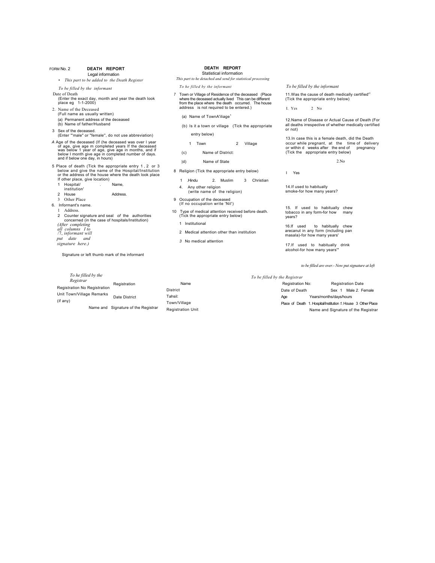#### FORM No. 2 **DEATH REPORT** Legal information

- *This part to be added to the Death Register*
- *To be filled by the informant*
- Date of Death (Enter the exact day, month and year the death look place eg 1-1-2000)
- 2. Name of the Deceased (Full name as usually written) (a) Permanent address of the deceased (b) Name of father/Husband
- 3 Sex of the deceased.
- (Enter "'male" or "female'', do not use abbreviation) A Age of the deceased (If (he deceased was over I year<br>of age, give age m completed years If the deceased<br>was below 1 year of age, give age in months, and if<br>below I month give age in completed number of days. and if below one day, in hours)
- 5 Place of death (Tick the appropriate entry 1 , 2 or 3 below and give the name of the Hospital/Institution or the address of the house where the death look place If other place, give location)
	- 1 Hospital/ . Name,
	- institution'

#### 2 House Address.

#### 3 Other Place

- 6. Informant's name.
	- 1 Address.
	- 2 Counter signature and seal *of* the authorities concerned (in the case of hospitals/Institution) *(After completing all columns I to*  /7, *informant will put date and*
	- *signature here.)*

Signature or left thumb mark of the informant

#### **DEATH REPORT** Statistical information

*This part to he detached and send for statistical processing To he filled by the informant*

- *7* Town or Village of Residence of the deceased (Place where the deceased actually lived This can be different from the place where the death occurred. The house address is not required to be entered.)
	- (a) Name of TownA'iliage<sup>1</sup>
	- (b) Is it a town or village (Tick the appropriate entry below)
		- 1 Town 2 Village
	- (c) Name of District:
	- |d) Name of State
- 8 Religion (Tick the appropriate entry below)
- 1 .Hindu 2. Muslim 3 Christian
	- 4. Any other religion (write name of the religion)
	-
- 9 Occupation of the deceased (If no occupation write 'Nil')
- 10 Type of medical attention received before death. (Tick the appropriate entry below)
	- 1 Institutional

*3* No medical attention

- 2 Medical attention other than institution arecanut in any form (including pan masala)-for how many years'
	- 17.If used to habitually drink alcohol-for how many years'"

*To be filled by the informant*

I. Yes 2 No

or not)

I Yes

years?

14.If used to habitually smoke-for how many years?

11.Was the cause of death medically certified'<sup>1</sup> (Tick the appropriate entry below)

12.Name of Disease or Actual Cause of Death (For all deaths irrespective of whether medically certified

13.In case this is a female death, did the Death occur while pregnant, at the time of delivery or within d weeks after the end of pregnancy

2.No

(Tick the appropriate entry below)

15. If used to habitually chew tobacco in any form-for how many

16.If used to habitually chew

*to be filled are over.- Now put signature at left*

*To be filled by the Registrar*

|                           |                          | $1000$ respects by encontractive and $\frac{1}{2000}$ |                                                               |
|---------------------------|--------------------------|-------------------------------------------------------|---------------------------------------------------------------|
| Registration              | Name                     | Registration No:                                      | <b>Registration Date</b>                                      |
|                           | District                 | Date of Death                                         | Male 2. Female<br>Sex :                                       |
| Date District             | Tahsil:                  | Age                                                   | Years/months/davs/hours                                       |
|                           | Town/Village             |                                                       | Place of Death 1. Hospital/Institution 1. House 3 Other Place |
| ignature of the Registrar | <b>Registration Unit</b> |                                                       | Name and Signature of the Registrar                           |
|                           |                          |                                                       |                                                               |

#### *To he filled by the Registrar*  Registration No Registration Unit Town/Village Remarks Date District (if any) Name and Signature of the Registrar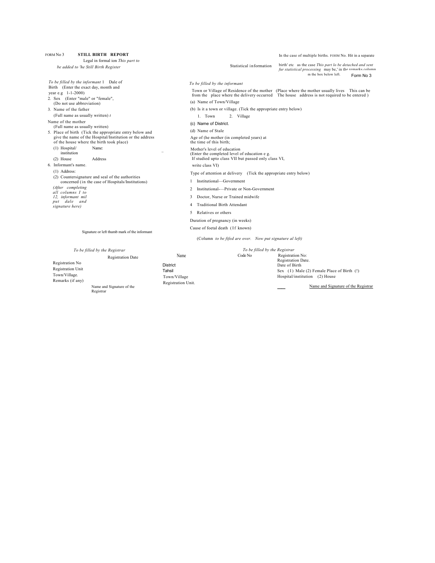| <b>STILL BIRTH REPORT</b><br>FORM No 3<br>Legal in formal ion This part to                                                                                                                                                                                                                                                                                                                                                                                                                                                                                                                                                                                                                                                                                                                                                                  |                                                |                                                                                                                                                                                                                                                                                                                                                                                                                                                                                                                                                                                                                                                                                                                                                                                                                                                   | In the case of multiple births. FOHM No. Hit in a separate                                                                                                                                  |
|---------------------------------------------------------------------------------------------------------------------------------------------------------------------------------------------------------------------------------------------------------------------------------------------------------------------------------------------------------------------------------------------------------------------------------------------------------------------------------------------------------------------------------------------------------------------------------------------------------------------------------------------------------------------------------------------------------------------------------------------------------------------------------------------------------------------------------------------|------------------------------------------------|---------------------------------------------------------------------------------------------------------------------------------------------------------------------------------------------------------------------------------------------------------------------------------------------------------------------------------------------------------------------------------------------------------------------------------------------------------------------------------------------------------------------------------------------------------------------------------------------------------------------------------------------------------------------------------------------------------------------------------------------------------------------------------------------------------------------------------------------------|---------------------------------------------------------------------------------------------------------------------------------------------------------------------------------------------|
| be added to 'he Still Birth Register                                                                                                                                                                                                                                                                                                                                                                                                                                                                                                                                                                                                                                                                                                                                                                                                        |                                                | Statistical information                                                                                                                                                                                                                                                                                                                                                                                                                                                                                                                                                                                                                                                                                                                                                                                                                           | birth' etc as the case This part lo be detached and sent<br>fur statistical processing may be,' in the remarks column<br>m the box below left.<br>Form No 3                                 |
| To be filled by the informant 1 Dale of<br>Birth (Enter the exact day, month and<br>vear e.g $1-1-2000$ )<br>2. Sex (Enter "male" or "female",<br>(Do not use abbreviation)<br>3. Name of the father<br>(Full name as usually written) $t$<br>Name of the mother<br>(Full name as usually written)<br>5. Place of birth (Tick the appropriate entry below and<br>give the name of the Hospital/Institution or the address<br>of the house where the birth took place)<br>(1) Hospital/<br>Name:<br>institution<br>$(2)$ House<br>Address<br>6 Informant's name<br>$(1)$ Address:<br>(2) Countersignature and seal of the authorities<br>concerned (in the case of Hospitals/Institutions)<br>(After completing<br>all columns I to<br>12, informant mil<br>put dale and<br>signature here)<br>Signature or left thumb mark of the informant |                                                | To be filled by the informant<br>(a) Name of Town/Village<br>(b) Is it a town or village. (Tick the appropriate entry below)<br>1. Town<br>2. Village<br>(c) Name of District.<br>(d) Name of Stale<br>Age of (he mother (in completed years) at<br>the time of this birth;<br>Mother's level of education<br>(Enter the completed level of education e g.<br>If studied upto class VII but passed only class VI,<br>write class VI)<br>Type of attention at delivery (Tick the appropriate entry below)<br>Institutional-Government<br>1<br>Institutional----Private or Non-Government<br>2<br>Doctor, Nurse or Trained midwife<br>3<br><b>Traditional Birth Attendant</b><br>4<br>Relatives or others<br>5.<br>Duration of pregnancy (in weeks)<br>Cause of foetal death (If known)<br>(Column to be fifed are over. Now put signature al left) | Town or Village of Residence of the mother (Place where the mother usually lives This can be<br>from the place where the delivery occurred The house address is not required to be entered) |
| To be filled by the Registrar                                                                                                                                                                                                                                                                                                                                                                                                                                                                                                                                                                                                                                                                                                                                                                                                               |                                                | To be filled by the Registrar                                                                                                                                                                                                                                                                                                                                                                                                                                                                                                                                                                                                                                                                                                                                                                                                                     |                                                                                                                                                                                             |
| <b>Registration Date</b>                                                                                                                                                                                                                                                                                                                                                                                                                                                                                                                                                                                                                                                                                                                                                                                                                    | Name                                           | Code No                                                                                                                                                                                                                                                                                                                                                                                                                                                                                                                                                                                                                                                                                                                                                                                                                                           | Registration No:                                                                                                                                                                            |
| Registration No<br><b>Registration Unit</b><br>Town/Village.                                                                                                                                                                                                                                                                                                                                                                                                                                                                                                                                                                                                                                                                                                                                                                                | <b>District</b><br>Tahsil<br>$TQ$ Town/Village |                                                                                                                                                                                                                                                                                                                                                                                                                                                                                                                                                                                                                                                                                                                                                                                                                                                   | Registration Date.<br>Date of Birth<br>Sex (I) Male (2) Female Place of Birth (!)<br>Hospital/institution (2) House                                                                         |

Remarks (if any)

Name and Signature of the Registrar

Town/Village Registration Unit. Hospital/institution (2) House

Name and Signature of the Registrar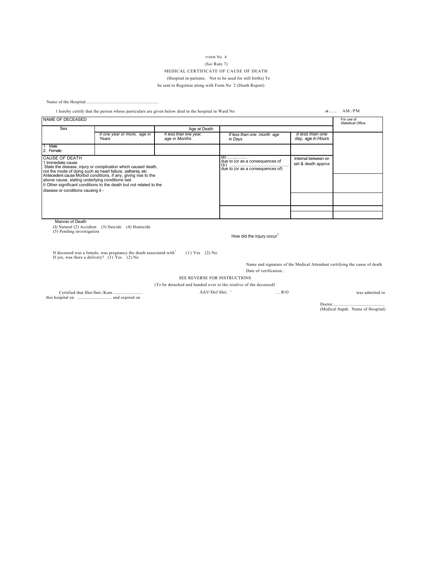#### FORM No 4 *(See* Rule 7) MEDICAL CERTIFICATE OF CAUSE OF DEATH (Hospital in-patients. Not to be used for still births) To be sent to Registrar along with Form No 2 (Death Report)

Name of the Hospital .........

|                                                                                                                                                                                                                                |                                      | 1 hereby certify that the person whose particulars are given below died in the hospital in Ward No |                                                                              | $at$                                      | AM.PM                                   |
|--------------------------------------------------------------------------------------------------------------------------------------------------------------------------------------------------------------------------------|--------------------------------------|----------------------------------------------------------------------------------------------------|------------------------------------------------------------------------------|-------------------------------------------|-----------------------------------------|
| NAME OF DECEASED                                                                                                                                                                                                               |                                      |                                                                                                    |                                                                              |                                           | For use of<br><b>Statistical Office</b> |
| Sex                                                                                                                                                                                                                            |                                      | Age at Death                                                                                       |                                                                              |                                           |                                         |
|                                                                                                                                                                                                                                | If one year or more, age in<br>Years | If less than line year,<br>age in Months                                                           | If less than one month age<br>in Days                                        | If less than one<br>day, age in Hours     |                                         |
| Male<br>2. Female                                                                                                                                                                                                              |                                      |                                                                                                    |                                                                              |                                           |                                         |
| <b>CAUSE OF DEATH</b><br>1 Immediate cause<br>State the disease, injury or complication which caused death,<br>not the mode of dying such as heart failure, asthenia, etc.                                                     |                                      |                                                                                                    | $(a)$<br>due to (or as a consequences of<br>due to (or as a consequences of) | Internal between on<br>set & death approx |                                         |
| Antecedent cause Morbid conditions, if any, giving rise to the<br>above cause, slating underlying conditions last<br>If Other significant conditions to the death but not related to the<br>disease or conditions causing it - |                                      |                                                                                                    |                                                                              |                                           |                                         |
|                                                                                                                                                                                                                                |                                      |                                                                                                    |                                                                              |                                           |                                         |
|                                                                                                                                                                                                                                |                                      |                                                                                                    |                                                                              |                                           |                                         |
|                                                                                                                                                                                                                                |                                      |                                                                                                    |                                                                              |                                           |                                         |
| Mannei of Death                                                                                                                                                                                                                |                                      |                                                                                                    |                                                                              |                                           |                                         |
| (I) Natural (2) Accident (3) Suicide<br>(5) Pending investigation                                                                                                                                                              | (4) Homicide                         |                                                                                                    |                                                                              |                                           |                                         |

How did the injury occur<sup>1</sup>

If deceased was a female, was pregnancy the death associated with<sup>?</sup> (1) Yes (2) No. If yes, was there a delivery? (I) Yes (2) No

Name and signature of the Medical Attendant certifying the cause of death Date of verification ..

SEE REVERSE FOR INSTRUCTIONS

(To be detached and handed over to the reialive of the deceased)

Certified that Shri/Smt./Kum ............................ the state end of the maximum maximum. .SAV/Dof Shri . ' .... R/O was admitted to

Doctor................................................. (Medical Supdt. Name of Hospital)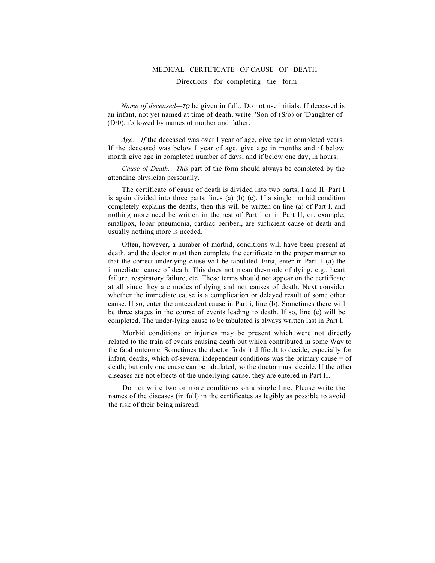#### MEDICAL CERTIFICATE OF CAUSE OF DEATH

Directions for completing the form

*Name of deceased—TQ* be given in full.. Do not use initials. If deceased is an infant, not yet named at time of death, write. 'Son of (S/o) or 'Daughter of (D/0), followed by names of mother and father.

*Age.—If* the deceased was over I year of age, give age in completed years. If the deceased was below I year of age, give age in months and if below month give age in completed number of days, and if below one day, in hours.

*Cause of Death.—This* part of the form should always be completed by the attending physician personally.

The certificate of cause of death is divided into two parts, I and II. Part I is again divided into three parts, lines (a) (b) (c). If a single morbid condition completely explains the deaths, then this will be written on line (a) of Part I, and nothing more need be written in the rest of Part I or in Part II, or. example, smallpox, lobar pneumonia, cardiac beriberi, are sufficient cause of death and usually nothing more is needed.

Often, however, a number of morbid, conditions will have been present at death, and the doctor must then complete the certificate in the proper manner so that the correct underlying cause will be tabulated. First, enter in Part. I (a) the immediate cause of death. This does not mean the-mode of dying, e.g., heart failure, respiratory failure, etc. These terms should not appear on the certificate at all since they are modes of dying and not causes of death. Next consider whether the immediate cause is a complication or delayed result of some other cause. If so, enter the antecedent cause in Part i, line (b). Sometimes there will be three stages in the course of events leading to death. If so, line (c) will be completed. The under-lying cause to be tabulated is always written last in Part I.

Morbid conditions or injuries may be present which were not directly related to the train of events causing death but which contributed in some Way to the fatal outcome. Sometimes the doctor finds it difficult to decide, especially for infant, deaths, which of-several independent conditions was the primary cause = of death; but only one cause can be tabulated, so the doctor must decide. If the other diseases are not effects of the underlying cause, they are entered in Part II.

Do not write two or more conditions on a single line. Please write the names of the diseases (in full) in the certificates as legibly as possible to avoid the risk of their being misread.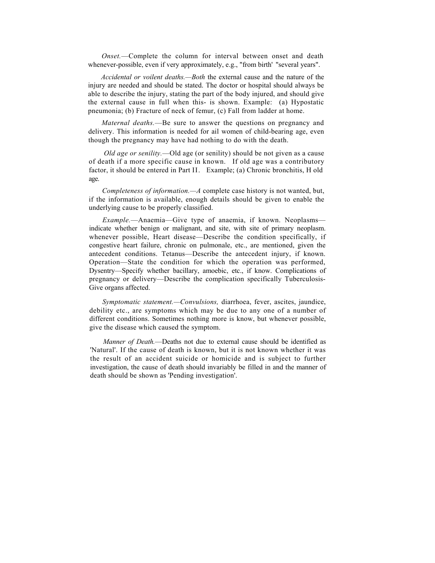*Onset.*—Complete the column for interval between onset and death whenever-possible, even if very approximately, e.g., "from birth' "several years".

*Accidental or voilent deaths.—Both* the external cause and the nature of the injury are needed and should be stated. The doctor or hospital should always be able to describe the injury, stating the part of the body injured, and should give the external cause in full when this- is shown. Example: (a) Hypostatic pneumonia; (b) Fracture of neck of femur, (c) Fall from ladder at home.

*Maternal deaths.*—Be sure to answer the questions on pregnancy and delivery. This information is needed for ail women of child-bearing age, even though the pregnancy may have had nothing to do with the death.

*Old age or senility.*—Old age (or senility) should be not given as a cause of death if a more specific cause in known. If old age was a contributory factor, it should be entered in Part II. Example; (a) Chronic bronchitis, H old age.

*Completeness of information.—A* complete case history is not wanted, but, if the information is available, enough details should be given to enable the underlying cause to be properly classified.

*Example.*—Anaemia—Give type of anaemia, if known. Neoplasms indicate whether benign or malignant, and site, with site of primary neoplasm. whenever possible, Heart disease—Describe the condition specifically, if congestive heart failure, chronic on pulmonale, etc., are mentioned, given the antecedent conditions. Tetanus—Describe the antecedent injury, if known. Operation—State the condition for which the operation was performed, Dysentry—Specify whether bacillary, amoebic, etc., if know. Complications of pregnancy or delivery—Describe the complication specifically Tuberculosis-Give organs affected.

*Symptomatic statement.—Convulsions,* diarrhoea, fever, ascites, jaundice, debility etc., are symptoms which may be due to any one of a number of different conditions. Sometimes nothing more is know, but whenever possible, give the disease which caused the symptom.

*Manner of Death.*—Deaths not due to external cause should be identified as 'Natural'. If the cause of death is known, but it is not known whether it was the result of an accident suicide or homicide and is subject to further investigation, the cause of death should invariably be filled in and the manner of death should be shown as 'Pending investigation'.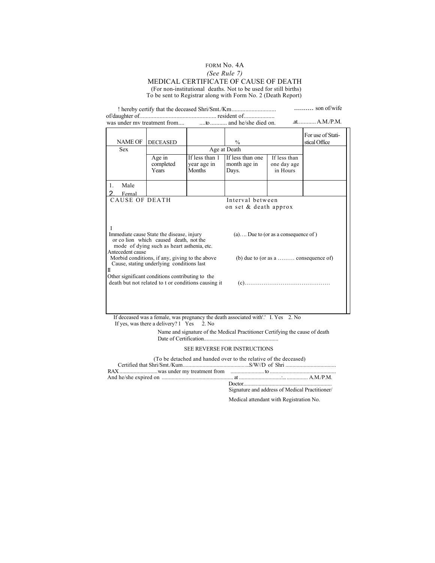#### FORM No. 4A *(See Rule 7)* MEDICAL CERTIFICATE OF CAUSE OF DEATH (For non-institutional deaths. Not to be used for still births) To be sent to Registrar along with Form No. 2 (Death Report)

! hereby certify that the deceased Shri/Smt./Km................................. of/daughter of.................................................. resident of.................... .......... son of/wife was under mv treatment from.... .at............A.M./P.M. ....to........... and he/she died on. NAME OF DECEASED % For use of Statistical Office Sex Age at Death Age in completed Years If less than 1 year age in Months If less than one month age in Days. If less than one day age in Hours 1. Male 2. Femal CAUSE OF DEATH Interval between on set & death approx I Immediate cause State the disease, injury (a).... Due to (or as a consequence of ) or co lion which caused death, not the mode of dying such as heart asthenia, etc. Antecedent cause Morbid conditions, if any, giving to the above (b) due to (or as a ......... consequence of) Cause, stating underlying conditions last II Other significant conditions contributing to the death but not related to t or conditions causing it (c)………………………………………

If deceased was a female, was pregnancy the death associated with'.' I. Yes 2. No If yes, was there a delivery?  $1 \text{ Yes} \quad 2$ . No

> Name and signature of the Medical Practitioner Certifying the cause of death Date of Certification.......

#### SEE REVERSE FOR INSTRUCTIONS

| (To be detached and handed over to the relative of the deceased) |                                                |  |
|------------------------------------------------------------------|------------------------------------------------|--|
|                                                                  |                                                |  |
|                                                                  |                                                |  |
|                                                                  |                                                |  |
|                                                                  |                                                |  |
|                                                                  | Signature and address of Medical Practitioner/ |  |

Medical attendant with Registration No.

.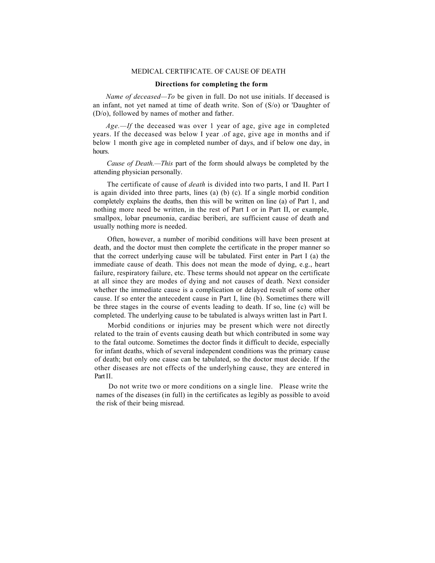#### MEDICAL CERTIFICATE. OF CAUSE OF DEATH

#### **Directions for completing the form**

*Name of deceased—To* be given in full. Do not use initials. If deceased is an infant, not yet named at time of death write. Son of (S/o) or 'Daughter of (D/o), followed by names of mother and father.

*Age.—If* the deceased was over 1 year of age, give age in completed years. If the deceased was below I year .of age, give age in months and if below 1 month give age in completed number of days, and if below one day, in hours.

*Cause of Death.—This* part of the form should always be completed by the attending physician personally.

The certificate of cause of *death* is divided into two parts, I and II. Part I is again divided into three parts, lines (a) (b) (c). If a single morbid condition completely explains the deaths, then this will be written on line (a) of Part 1, and nothing more need be written, in the rest of Part I or in Part II, or example, smallpox, lobar pneumonia, cardiac beriberi, are sufficient cause of death and usually nothing more is needed.

Often, however, a number of moribid conditions will have been present at death, and the doctor must then complete the certificate in the proper manner so that the correct underlying cause will be tabulated. First enter in Part I (a) the immediate cause of death. This does not mean the mode of dying, e.g., heart failure, respiratory failure, etc. These terms should not appear on the certificate at all since they are modes of dying and not causes of death. Next consider whether the immediate cause is a complication or delayed result of some other cause. If so enter the antecedent cause in Part I, line (b). Sometimes there will be three stages in the course of events leading to death. If so, line (c) will be completed. The underlying cause to be tabulated is always written last in Part I.

Morbid conditions or injuries may be present which were not directly related to the train of events causing death but which contributed in some way to the fatal outcome. Sometimes the doctor finds it difficult to decide, especially for infant deaths, which of several independent conditions was the primary cause of death; but only one cause can be tabulated, so the doctor must decide. If the other diseases are not effects of the underlyhing cause, they are entered in Part II.

Do not write two or more conditions on a single line. Please write the names of the diseases (in full) in the certificates as legibly as possible to avoid the risk of their being misread.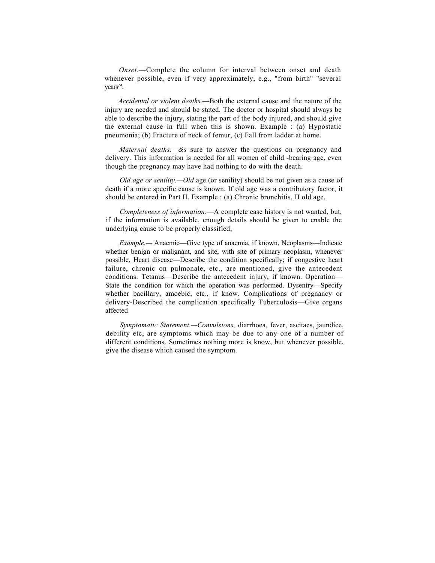*Onset.*—Complete the column for interval between onset and death whenever possible, even if very approximately, e.g., "from birth" "several years^'.

*Accidental or violent deaths.*—Both the external cause and the nature of the injury are needed and should be stated. The doctor or hospital should always be able to describe the injury, stating the part of the body injured, and should give the external cause in full when this is shown. Example : (a) Hypostatic pneumonia; (b) Fracture of neck of femur, (c) Fall from ladder at home.

*Maternal deaths.—&s* sure to answer the questions on pregnancy and delivery. This information is needed for all women of child -bearing age, even though the pregnancy may have had nothing to do with the death.

*Old age or senility.—Old* age (or senility) should be not given as a cause of death if a more specific cause is known. If old age was a contributory factor, it should be entered in Part II. Example : (a) Chronic bronchitis, II old age.

*Completeness of information.*—A complete case history is not wanted, but, if the information is available, enough details should be given to enable the underlying cause to be properly classified,

*Example.—* Anaemic—Give type of anaemia, if known, Neoplasms—Indicate whether benign or malignant, and site, with site of primary neoplasm, whenever possible, Heart disease—Describe the condition specifically; if congestive heart failure, chronic on pulmonale, etc., are mentioned, give the antecedent conditions. Tetanus—Describe the antecedent injury, if known. Operation— State the condition for which the operation was performed. Dysentry—Specify whether bacillary, amoebic, etc., if know. Complications of pregnancy or delivery-Described the complication specifically Tuberculosis—Give organs affected

*Symptomatic Statement.—Convulsions,* diarrhoea, fever, ascitaes, jaundice, debility etc, are symptoms which may be due to any one of a number of different conditions. Sometimes nothing more is know, but whenever possible, give the disease which caused the symptom.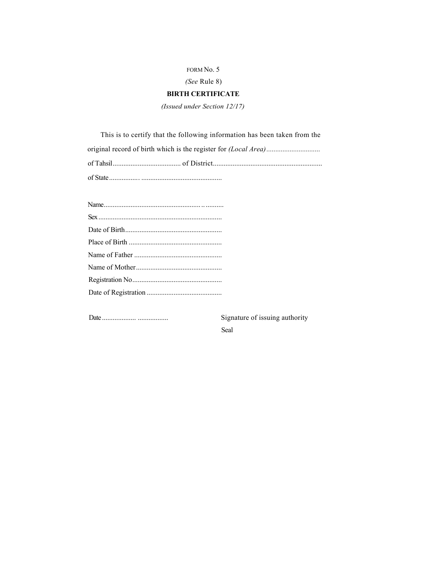*(See* Rule 8)

### **BIRTH CERTIFICATE**

*(Issued under Section 12/17)*

This is to certify that the following information has been taken from the original record of birth which is the register for *(Local Area)............................* of Tahsil...................................... of District............................................................. of State................. .............................................

Date ................... ................. Signature of issuing authority Seal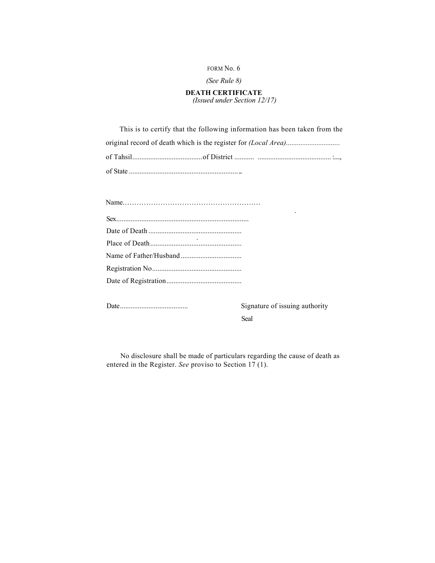### *(See Rule 8)*

#### **DEATH CERTIFICATE** *(Issued under Section 12/17)*

This is to certify that the following information has been taken from the original record of death which is the register for *(Local Area)...................................* of Tahsil.......................................of District ........... ......................................... :...., of State ................................................................

Date...................................... Signature of issuing authority Seal

No disclosure shall be made of particulars regarding the cause of death as entered in the Register. *See* proviso to Section 17 (1).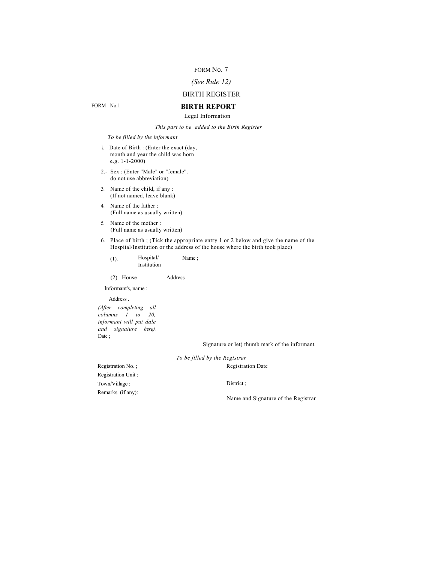### *(See Rule 12)*

### BIRTH REGISTER

## **BIRTH REPORT**

Legal Information

*This part to be added to the Birth Register*

*To be filled by the informant*

- *\.* Date of Birth : (Enter the exact (day, month and year the child was horn e.g. 1-1-2000)
- 2.- Sex : (Enter "Male" or "female". do not use abbreviation)
- 3. Name of the child, if any : (If not named, leave blank)
- 4. Name of the father : (Full name as usually written)
- 5. Name of the mother : (Full name as usually written)
- 6. Place of birth ; (Tick the appropriate entry 1 or 2 below and give the name of the Hospital/Institution or the address of the house where the birth took place)
	- (1). Hospital/ Institution Name ;

(2) House Address

Informant's, name :

Address .

*(After completing all columns I to 20, informant will put dale and signature here).* Date;

Signature or let) thumb mark of the informant

*To be filled by the Registrar*

Registration No. ; Registration Unit : Town/Village : Remarks (if any):

District ;

Registration Date

Name and Signature of the Registrar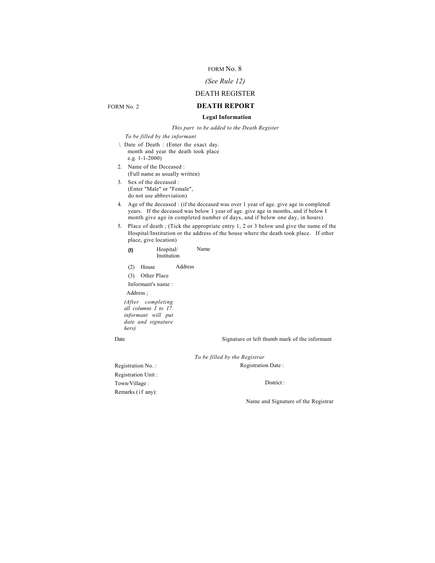### *(See Rule 12)*

### DEATH REGISTER **DEATH REPORT**

#### **Legal Information**

*This part to be added to the Death Register*

*To be filled by the informant*

*\.* Date of Death : (Enter the exact day. month and year the death took place e.g. 1-1-2000)

2. Name of the Deceased : (Full name as usually written)

3. Sex of the deceased : (Enter "Male" or "Female", do not use abbreviation)

4. Age of the deceased : (if the deceased was over 1 year of age. give age in completed years. If the deceased was below 1 year of age. give age in months, and if below I month give age in completed number of days, and if below one day, in hours)

5. Place of death ; (Tick the appropriate entry 1, 2 or 3 below and give the name of the Hospital/Institution or the address of the house where the death took place. If other place, give location)

- **(I)** Hospital/ Institution Name
- (2) House Address

(3) Other Place Informant's name : Address ;

*(After completing all columns I to 17. informant will put date and signature hers)*

Date Signature or left thumb mark of the informant

*To be filled by the Registrar*

Registration Date :

Registration No. : Registration Unit : Town/Village : Remarks (if any):

District :

Name and Signature of the Registrar

FORM No. 2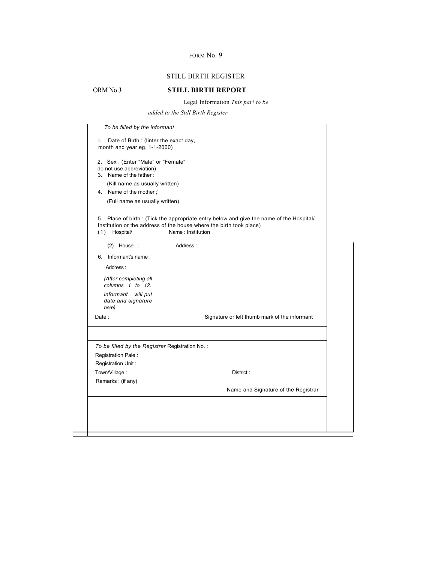### STILL BIRTH REGISTER

### ORM No **3 STILL BIRTH REPORT**

Legal Information *This par! to be* 

*added to the Still Birth Register*

|                                                                                          | To be filled by the informant                                                                                                                                                       |
|------------------------------------------------------------------------------------------|-------------------------------------------------------------------------------------------------------------------------------------------------------------------------------------|
| Date of Birth : (linter the exact day,<br>I.<br>month and year eg. 1-1-2000)             |                                                                                                                                                                                     |
| 2. Sex ; (Enter "Male" or "Female"<br>do not use abbreviation)<br>3. Name of the father: |                                                                                                                                                                                     |
| (Kill name as usually written)<br>4. Name of the mother:                                 |                                                                                                                                                                                     |
| (Full name as usually written)                                                           |                                                                                                                                                                                     |
| Hospital/<br>(1)                                                                         | 5. Place of birth: (Tick the appropriate entry below and give the name of the Hospital/<br>Institution or the address of the house where the birth took place)<br>Name: Institution |
| $(2)$ House ;                                                                            | Address:                                                                                                                                                                            |
| Informant's name:<br>6.                                                                  |                                                                                                                                                                                     |
| Address:                                                                                 |                                                                                                                                                                                     |
| (After completing all<br>columns 1 to 12.                                                |                                                                                                                                                                                     |
| informant<br>will put<br>date and signature<br>here)                                     |                                                                                                                                                                                     |
| Date:                                                                                    | Signature or left thumb mark of the informant                                                                                                                                       |
|                                                                                          |                                                                                                                                                                                     |
| To be filled by the Registrar Registration No.:                                          |                                                                                                                                                                                     |
| Registration Pale:                                                                       |                                                                                                                                                                                     |
| Registration Unit:                                                                       |                                                                                                                                                                                     |
|                                                                                          | District:                                                                                                                                                                           |
| Town/Village:                                                                            |                                                                                                                                                                                     |
| Remarks: (if any)                                                                        | Name and Signature of the Registrar                                                                                                                                                 |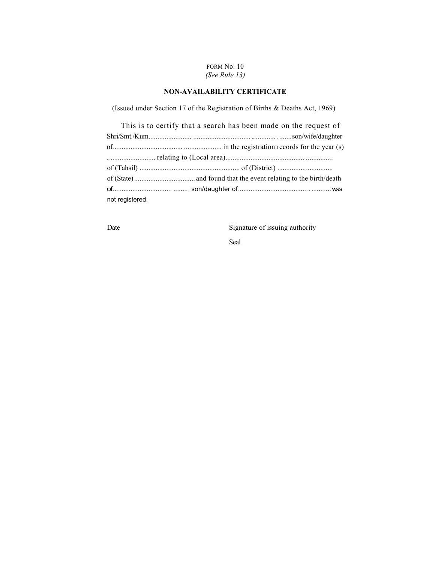### FORM No. 10 *(See Rule 13)*

### **NON-AVAILABILITY CERTIFICATE**

(Issued under Section 17 of the Registration of Births & Deaths Act, 1969)

|                 | This is to certify that a search has been made on the request of |
|-----------------|------------------------------------------------------------------|
|                 |                                                                  |
|                 |                                                                  |
|                 |                                                                  |
|                 |                                                                  |
|                 |                                                                  |
|                 |                                                                  |
| not registered. |                                                                  |

Date Signature of issuing authority

Seal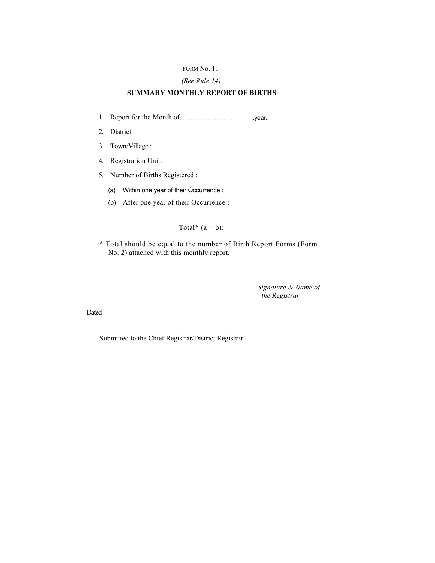#### *(See Rule 14)*

### **SUMMARY MONTHLY REPORT OF BIRTHS**

- 1. Report for the Month of. ............................ .year.
- 2. District:
- 3. Town/Village :
- 4. Registration Unit:
- 5. Number of Births Registered :
	- (a) Within one year of their Occurrence :
	- (b) After one year of their Occurrence :

Total\*  $(a + b)$ :

\* Total should be equal to the number of Birth Report Forms (Form No. 2) attached with this monthly report.

> *Signature & Name of the Registrar.*

Dated :

Submitted to the Chief Registrar/District Registrar.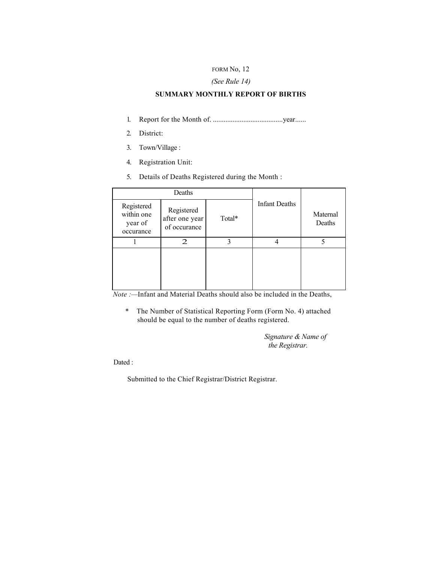#### FORM No, 12

### *(See Rule 14)*

### **SUMMARY MONTHLY REPORT OF BIRTHS**

- 1. Report for the Month of. .......................................year......
- 2. District:
- 3. Town/Village :
- 4. Registration Unit:
- 5. Details of Deaths Registered during the Month :

|                                                  | Deaths                                       |        |                      |                    |
|--------------------------------------------------|----------------------------------------------|--------|----------------------|--------------------|
| Registered<br>within one<br>year of<br>occurance | Registered<br>after one year<br>of occurance | Total* | <b>Infant Deaths</b> | Maternal<br>Deaths |
|                                                  | 2                                            |        |                      |                    |
|                                                  |                                              |        |                      |                    |

*Note :—*Infant and Material Deaths should also be included in the Deaths,

\* The Number of Statistical Reporting Form (Form No. 4) attached should be equal to the number of deaths registered.

> *Signature & Name of the Registrar.*

Dated :

Submitted to the Chief Registrar/District Registrar.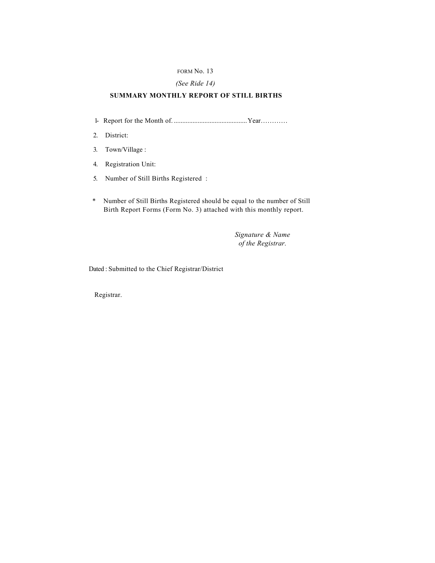### *(See Ride 14)*

### **SUMMARY MONTHLY REPORT OF STILL BIRTHS**

- 1- Report for the Month of. ...........................................Year…………
- 2. District:
- 3. Town/Village :
- 4. Registration Unit:
- 5. Number of Still Births Registered :
- \* Number of Still Births Registered should be equal to the number of Still Birth Report Forms (Form No. 3) attached with this monthly report.

*Signature & Name of the Registrar.*

Dated : Submitted to the Chief Registrar/District

Registrar.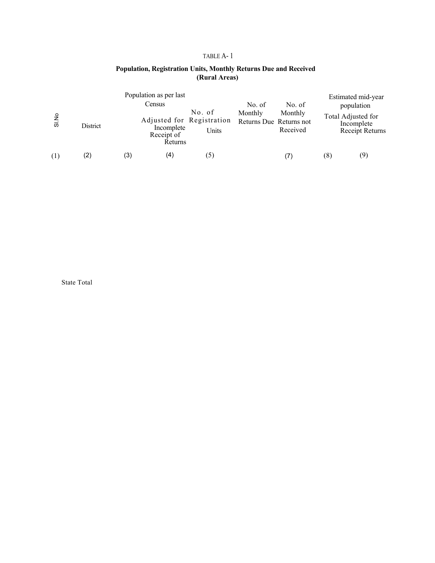### TABLE A- 1

### **Population, Registration Units, Monthly Returns Due and Received (Rural Areas)**

| Si.No | District |     | Population as per last<br>Census<br>Adjusted for Registration<br>Incomplete<br>Receipt of<br>Returns | No. of<br>Units | No. of<br>Monthly | No. of<br>Monthly<br>Returns Due Returns not<br>Received |     | Estimated mid-year<br>population<br>Total Adjusted for<br>Incomplete<br>Receipt Returns |
|-------|----------|-----|------------------------------------------------------------------------------------------------------|-----------------|-------------------|----------------------------------------------------------|-----|-----------------------------------------------------------------------------------------|
| (1)   | (2)      | (3) | (4)                                                                                                  | (5)             |                   |                                                          | (8) | (9)                                                                                     |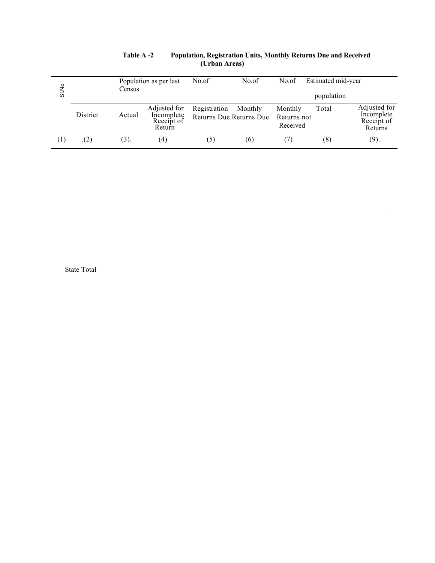| SI No | Population as per last<br>Census |        | No.of<br>No.of<br>No.of                            |                                                |         |                                    | Estimated mid-year<br>population |                                                     |
|-------|----------------------------------|--------|----------------------------------------------------|------------------------------------------------|---------|------------------------------------|----------------------------------|-----------------------------------------------------|
|       | <b>District</b>                  | Actual | Adjusted for<br>Incomplete<br>Receipt of<br>Return | Registration<br><b>Returns Due Returns Due</b> | Monthly | Monthly<br>Returns not<br>Received | Total                            | Adjusted for<br>Incomplete<br>Receipt of<br>Returns |
|       | (2)                              | (3).   | (4)                                                | (5)                                            | (6)     |                                    | (8)                              | (9).                                                |

#### **Table A -2 Population, Registration Units, Monthly Returns Due and Received (Urban Areas)**

'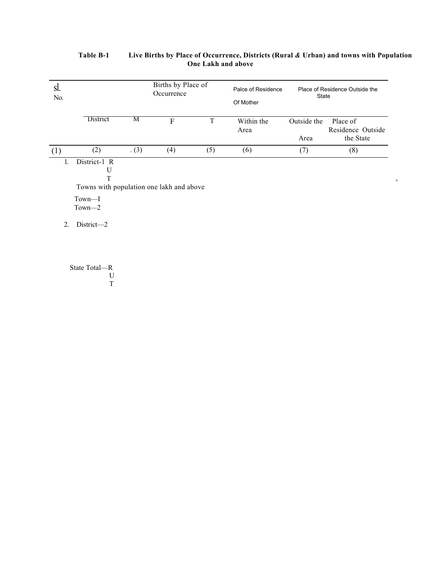| SI.<br>No.             |                                                                                                      |     | Births by Place of<br>Occurrence |             | Palce of Residence<br>Of Mother | State               | Place of Residence Outside the             |
|------------------------|------------------------------------------------------------------------------------------------------|-----|----------------------------------|-------------|---------------------------------|---------------------|--------------------------------------------|
|                        | District                                                                                             | M   | $\mathbf F$                      | $\mathbf T$ | Within the<br>Area              | Outside the<br>Area | Place of<br>Residence Outside<br>the State |
| (1)                    | (2)                                                                                                  | (3) | (4)                              | (5)         | (6)                             | (7)                 | (8)                                        |
| 1.<br>$\overline{2}$ . | District-1 R<br>U<br>T<br>Towns with population one lakh and above<br>Town-I<br>Town-2<br>District-2 |     |                                  |             |                                 |                     |                                            |

### **Table B-1 Live Births by Place of Occurrence, Districts (Rural** *&* **Urban) and towns with Population One Lakh and above**

*'S-*

State Total—R U T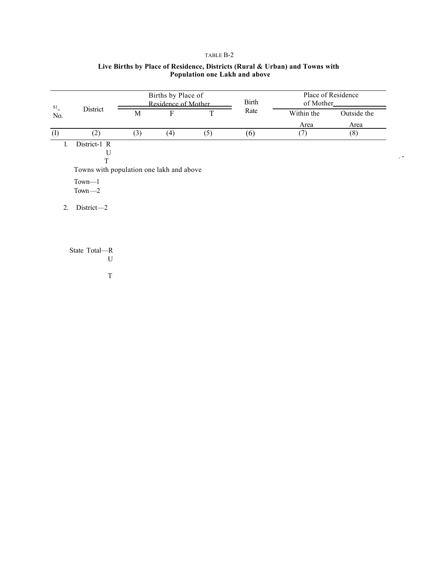### TABLE B-2

| S1                                       |     | Births by Place of<br>Residence of Mother |     | <b>Birth</b> | Place of Residence<br>of Mother_ |             |  |  |  |
|------------------------------------------|-----|-------------------------------------------|-----|--------------|----------------------------------|-------------|--|--|--|
| District<br>No.                          | M   | F                                         | T   | Rate         | Within the                       | Outside the |  |  |  |
|                                          |     |                                           |     |              | Area                             | Area        |  |  |  |
| (1)<br>(2)                               | (3) | (4)                                       | (5) | (6)          | (7)                              | (8)         |  |  |  |
| District-1 R<br>$\mathbf{1}$             |     |                                           |     |              |                                  |             |  |  |  |
| U                                        |     |                                           |     |              |                                  |             |  |  |  |
| T                                        |     |                                           |     |              |                                  |             |  |  |  |
| Towns with population one lakh and above |     |                                           |     |              |                                  |             |  |  |  |
| $Town-1$                                 |     |                                           |     |              |                                  |             |  |  |  |
| $Town-2$                                 |     |                                           |     |              |                                  |             |  |  |  |
| $District -2$<br>$\overline{2}$ .        |     |                                           |     |              |                                  |             |  |  |  |
|                                          |     |                                           |     |              |                                  |             |  |  |  |
|                                          |     |                                           |     |              |                                  |             |  |  |  |
|                                          |     |                                           |     |              |                                  |             |  |  |  |
| State Total—R                            |     |                                           |     |              |                                  |             |  |  |  |
| U                                        |     |                                           |     |              |                                  |             |  |  |  |

. -

### **Live Births by Place of Residence, Districts (Rural & Urban) and Towns with Population one Lakh and above**

T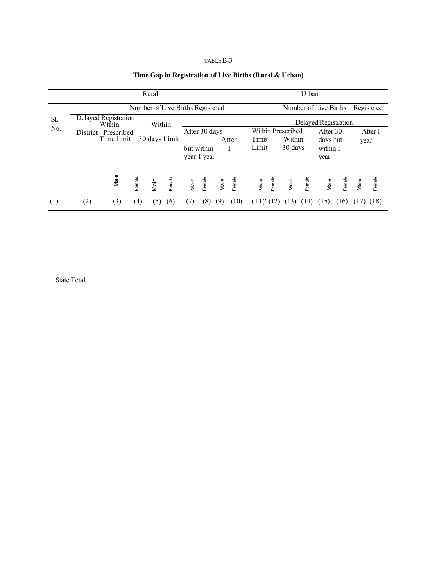### TABLE B-3

### **Time Gap in Registration of Live Births (Rural & Urban)**

|     |     |                                   | Rural          |                                  | Urban                     |                                     |      |        |                                     |                      |      |                  |                      |        |                 |        |
|-----|-----|-----------------------------------|----------------|----------------------------------|---------------------------|-------------------------------------|------|--------|-------------------------------------|----------------------|------|------------------|----------------------|--------|-----------------|--------|
|     |     |                                   |                | Number of Live Births Registered |                           | Number of Live Births<br>Registered |      |        |                                     |                      |      |                  |                      |        |                 |        |
| SI. |     | Delayed Registration<br>Within    |                | Within                           |                           |                                     |      |        |                                     | Delayed Registration |      |                  |                      |        |                 |        |
| No. |     | District Prescribed<br>Time limit |                | 30 days Limit                    |                           | After 30 days                       |      | After  | Within Prescribed<br>Within<br>Time |                      |      |                  | After 30<br>days but |        | After 1<br>year |        |
|     |     |                                   |                |                                  | but within<br>year 1 year |                                     |      | Limit  |                                     | 30 days              |      | within 1<br>year |                      |        |                 |        |
|     |     | Male                              | Female<br>Male | Female                           | Male                      | Female                              | Male | Female | Male                                | Female               | Male | Female           | Male                 | Female | Male            | Female |
| (1) | (2) | (3)                               | (4)            | (5)<br>(6)                       |                           | (8)                                 | (9)  | (10)   |                                     |                      |      | (14)             | 15                   | (16)   | $(17)$ . $(18)$ |        |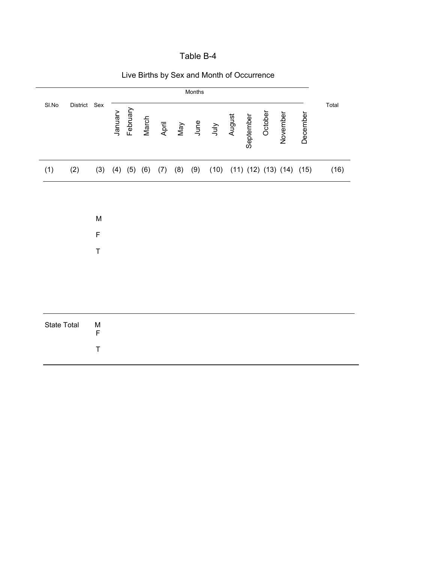| ∶able B |  |
|---------|--|
|---------|--|

|             |              |                          |        |                   |       |       |     | Months |             |        |           |         |                                    |          |       |
|-------------|--------------|--------------------------|--------|-------------------|-------|-------|-----|--------|-------------|--------|-----------|---------|------------------------------------|----------|-------|
| SI.No       | District Sex |                          | Nenuer | February          | March | April | Vay | June   | <b>AInr</b> | August | September | October | November                           | December | Total |
| (1)         | (2)          | (3)                      |        | $(4)$ $(5)$ $(6)$ |       | (7)   | (8) | (9)    | (10)        |        |           |         | $(11)$ $(12)$ $(13)$ $(14)$ $(15)$ |          | (16)  |
|             |              |                          |        |                   |       |       |     |        |             |        |           |         |                                    |          |       |
|             |              | ${\sf M}$                |        |                   |       |       |     |        |             |        |           |         |                                    |          |       |
|             |              | $\mathsf F$              |        |                   |       |       |     |        |             |        |           |         |                                    |          |       |
|             |              | $\mathsf T$              |        |                   |       |       |     |        |             |        |           |         |                                    |          |       |
|             |              |                          |        |                   |       |       |     |        |             |        |           |         |                                    |          |       |
|             |              |                          |        |                   |       |       |     |        |             |        |           |         |                                    |          |       |
| State Total |              | ${\sf M}$<br>$\mathsf F$ |        |                   |       |       |     |        |             |        |           |         |                                    |          |       |
|             |              | $\mathsf T$              |        |                   |       |       |     |        |             |        |           |         |                                    |          |       |

Live Births by Sex and Month of Occurrence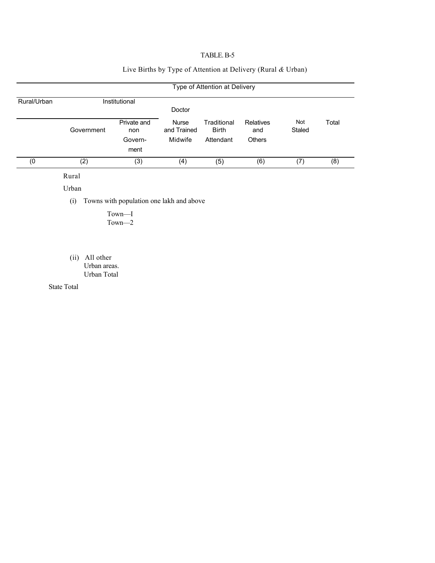### TABLE. B-5

### Live Births by Type of Attention at Delivery (Rural *&* Urban)

|             | Type of Attention at Delivery |                    |                             |                             |                  |               |       |  |  |  |  |  |  |
|-------------|-------------------------------|--------------------|-----------------------------|-----------------------------|------------------|---------------|-------|--|--|--|--|--|--|
| Rural/Urban |                               | Institutional      | Doctor                      |                             |                  |               |       |  |  |  |  |  |  |
|             | Government                    | Private and<br>non | <b>Nurse</b><br>and Trained | Traditional<br><b>Birth</b> | Relatives<br>and | Not<br>Staled | Total |  |  |  |  |  |  |
|             |                               | Govern-<br>ment    | Midwife                     | Attendant                   | <b>Others</b>    |               |       |  |  |  |  |  |  |
| (0          | (2)                           | (3)                | (4)                         | (5)                         | (6)              | (7)           | (8)   |  |  |  |  |  |  |

Rural

Urban

(i) Towns with population one lakh and above

Town—I Town—2

(ii) All other Urban areas. Urban Total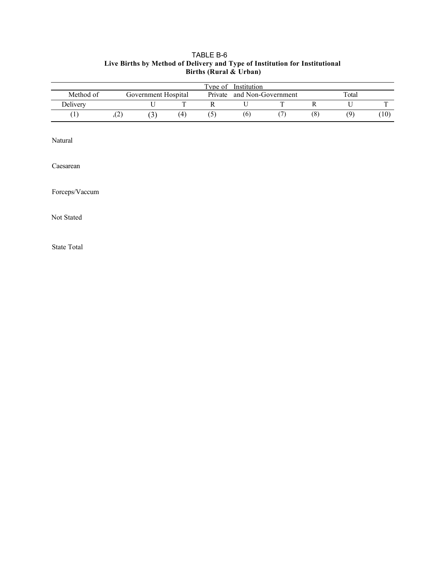### TABLE B-6 **Live Births by Method of Delivery and Type of Institution for Institutional Births (Rural & Urban)**

|           |      |                     |    | Type of | Institution |                    |     |       |                   |
|-----------|------|---------------------|----|---------|-------------|--------------------|-----|-------|-------------------|
| Method of |      | Government Hospital |    | Private |             | and Non-Government |     | Total |                   |
| Delivery  |      |                     |    |         |             |                    |     |       |                   |
|           | سم ب | $\mathcal{L}$       | (4 |         | (6)         |                    | (8) | ۵١    | $\left(10\right)$ |

Natural

Caesarean

Forceps/Vaccum

Not Stated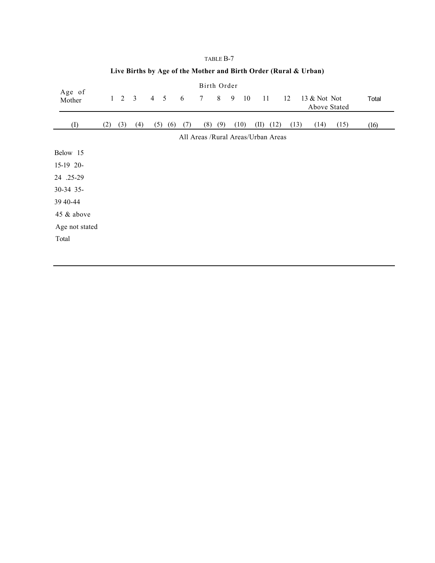|                  |     |            |                |            |     |     | Birth Order |     |   |      |                                    |      |                              |      |       |
|------------------|-----|------------|----------------|------------|-----|-----|-------------|-----|---|------|------------------------------------|------|------------------------------|------|-------|
| Age of<br>Mother |     | $1\quad 2$ | $\overline{3}$ | $4\quad 5$ |     | 6   | 7           | 8   | 9 | 10   | 11                                 | 12   | 13 & Not Not<br>Above Stated |      | Total |
| (I)              | (2) | (3)        | (4)            | (5)        | (6) | (7) | (8)         | (9) |   | (10) | (II)<br>(12)                       | (13) | (14)                         | (15) | (16)  |
|                  |     |            |                |            |     |     |             |     |   |      | All Areas /Rural Areas/Urban Areas |      |                              |      |       |
| Below 15         |     |            |                |            |     |     |             |     |   |      |                                    |      |                              |      |       |
| 15-19 20-        |     |            |                |            |     |     |             |     |   |      |                                    |      |                              |      |       |
| 24 .25-29        |     |            |                |            |     |     |             |     |   |      |                                    |      |                              |      |       |
| 30-34 35-        |     |            |                |            |     |     |             |     |   |      |                                    |      |                              |      |       |
| 39 40-44         |     |            |                |            |     |     |             |     |   |      |                                    |      |                              |      |       |
| 45 & above       |     |            |                |            |     |     |             |     |   |      |                                    |      |                              |      |       |
| Age not stated   |     |            |                |            |     |     |             |     |   |      |                                    |      |                              |      |       |
| Total            |     |            |                |            |     |     |             |     |   |      |                                    |      |                              |      |       |
|                  |     |            |                |            |     |     |             |     |   |      |                                    |      |                              |      |       |

### TABLE B-7 **Live Births by Age of the Mother and Birth Order (Rural & Urban)**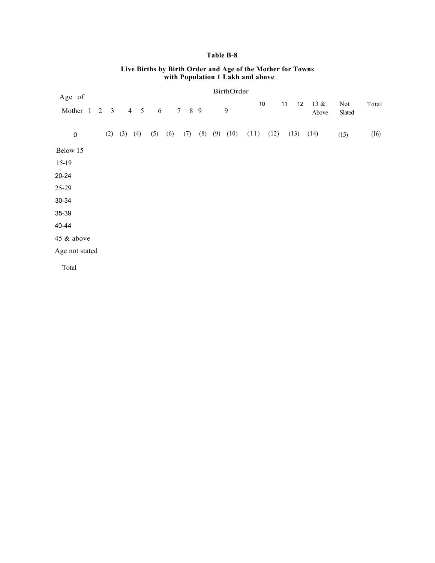### **Table B-8**

| Age of         |                |                         |             |                                   |                  |     |       |     |     | BirthOrder     |      |      |          |               |               |       |
|----------------|----------------|-------------------------|-------------|-----------------------------------|------------------|-----|-------|-----|-----|----------------|------|------|----------|---------------|---------------|-------|
| Mother 1       | $\overline{2}$ | $\overline{\mathbf{3}}$ |             | $\overline{4}$<br>$5\overline{)}$ | $\boldsymbol{6}$ |     | 7 8 9 |     |     | $\mathfrak{g}$ | 10   |      | 11<br>12 | 13 &<br>Above | Not<br>Slated | Total |
| $\mathbf 0$    |                | (2)                     | $(3)$ $(4)$ |                                   | (5)              | (6) | (7)   | (8) | (9) | (10)           | (11) | (12) | (13)     | (14)          | (15)          | (16)  |
| Below 15       |                |                         |             |                                   |                  |     |       |     |     |                |      |      |          |               |               |       |
| 15-19          |                |                         |             |                                   |                  |     |       |     |     |                |      |      |          |               |               |       |
| 20-24          |                |                         |             |                                   |                  |     |       |     |     |                |      |      |          |               |               |       |
| 25-29          |                |                         |             |                                   |                  |     |       |     |     |                |      |      |          |               |               |       |
| 30-34          |                |                         |             |                                   |                  |     |       |     |     |                |      |      |          |               |               |       |
| 35-39          |                |                         |             |                                   |                  |     |       |     |     |                |      |      |          |               |               |       |
| 40-44          |                |                         |             |                                   |                  |     |       |     |     |                |      |      |          |               |               |       |
| 45 & above     |                |                         |             |                                   |                  |     |       |     |     |                |      |      |          |               |               |       |
| Age not stated |                |                         |             |                                   |                  |     |       |     |     |                |      |      |          |               |               |       |
| Total          |                |                         |             |                                   |                  |     |       |     |     |                |      |      |          |               |               |       |

#### **Live Births by Birth Order and Age of the Mother for Towns with Population 1 Lakh and above**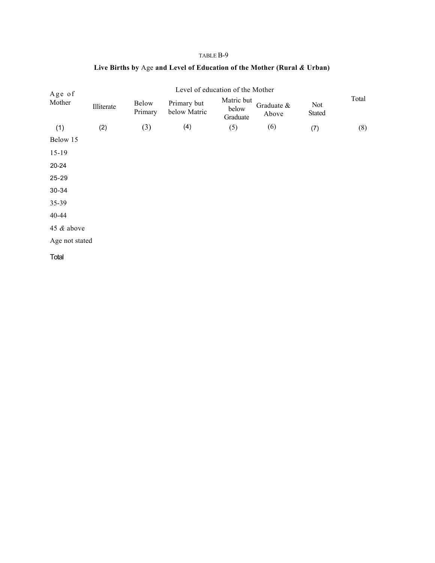| Age of         |            |                  |                             | Level of education of the Mother |                     |               |       |
|----------------|------------|------------------|-----------------------------|----------------------------------|---------------------|---------------|-------|
| Mother         | Illiterate | Below<br>Primary | Primary but<br>below Matric | Matric but<br>below<br>Graduate  | Graduate &<br>Above | Not<br>Stated | Total |
| (1)            | (2)        | (3)              | (4)                         | (5)                              | (6)                 | (7)           | (8)   |
| Below 15       |            |                  |                             |                                  |                     |               |       |
| $15-19$        |            |                  |                             |                                  |                     |               |       |
| 20-24          |            |                  |                             |                                  |                     |               |       |
| 25-29          |            |                  |                             |                                  |                     |               |       |
| 30-34          |            |                  |                             |                                  |                     |               |       |
| 35-39          |            |                  |                             |                                  |                     |               |       |
| 40-44          |            |                  |                             |                                  |                     |               |       |
| 45 & above     |            |                  |                             |                                  |                     |               |       |
| Age not stated |            |                  |                             |                                  |                     |               |       |
| Total          |            |                  |                             |                                  |                     |               |       |

# **Live Births by** Age **and Level of Education of the Mother (Rural** *&* **Urban)**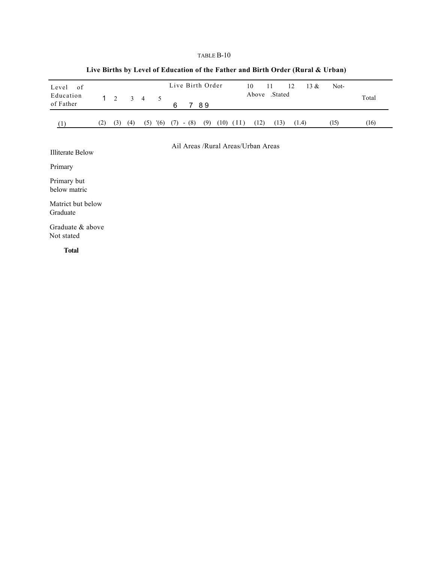| 0f<br>Level<br>Education    | $1 \quad$ | 2   | $\mathfrak{Z}$ | $\overline{4}$ | 5    |     |         | Live Birth Order |               | 10                                 | 11<br>Above Stated | $13 \&$<br>12 | Not- | Total |
|-----------------------------|-----------|-----|----------------|----------------|------|-----|---------|------------------|---------------|------------------------------------|--------------------|---------------|------|-------|
| of Father                   |           |     |                |                |      | 6   |         | 7 8 9            |               |                                    |                    |               |      |       |
| (1)                         | (2)       | (3) | (4)            | (5)            | '(6) | (7) | $-$ (8) | (9)              | $(10)$ $(11)$ | (12)                               | (13)               | (1.4)         | (15) | (16)  |
| <b>Illiterate Below</b>     |           |     |                |                |      |     |         |                  |               | Ail Areas /Rural Areas/Urban Areas |                    |               |      |       |
| Primary                     |           |     |                |                |      |     |         |                  |               |                                    |                    |               |      |       |
| Primary but<br>below matric |           |     |                |                |      |     |         |                  |               |                                    |                    |               |      |       |

# **Live Births by Level of Education of the Father and Birth Order (Rural & Urban)**

Matrict but below Graduate

Graduate & above Not stated

**Total**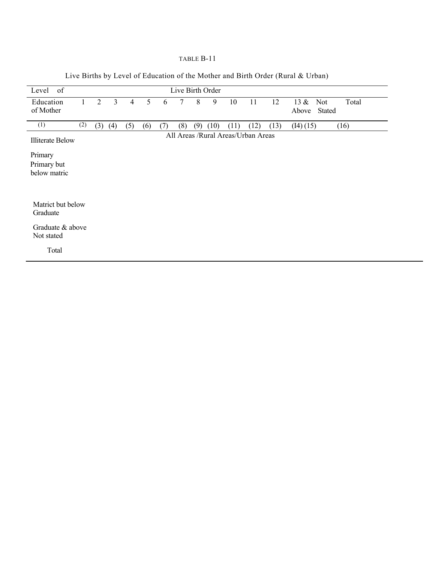| Level of                               |     |     |     |                |     |     |     |     | Live Birth Order |      |                                    |      |                                            |
|----------------------------------------|-----|-----|-----|----------------|-----|-----|-----|-----|------------------|------|------------------------------------|------|--------------------------------------------|
| Education<br>of Mother                 |     | 2   | 3   | $\overline{4}$ | 5   | 6   | 7   | 8   | 9                | 10   | 11                                 | 12   | $13 \&$<br>Not<br>Total<br>Stated<br>Above |
| (1)                                    | (2) | (3) | (4) | (5)            | (6) | (7) | (8) | (9) | (10)             | (11) | (12)                               | (13) | (14)(15)<br>(16)                           |
| <b>Illiterate Below</b>                |     |     |     |                |     |     |     |     |                  |      | All Areas /Rural Areas/Urban Areas |      |                                            |
| Primary<br>Primary but<br>below matric |     |     |     |                |     |     |     |     |                  |      |                                    |      |                                            |
| Matrict but below<br>Graduate          |     |     |     |                |     |     |     |     |                  |      |                                    |      |                                            |
| Graduate & above<br>Not stated         |     |     |     |                |     |     |     |     |                  |      |                                    |      |                                            |
| Total                                  |     |     |     |                |     |     |     |     |                  |      |                                    |      |                                            |

Live Births by Level of Education of the Mother and Birth Order (Rural & Urban)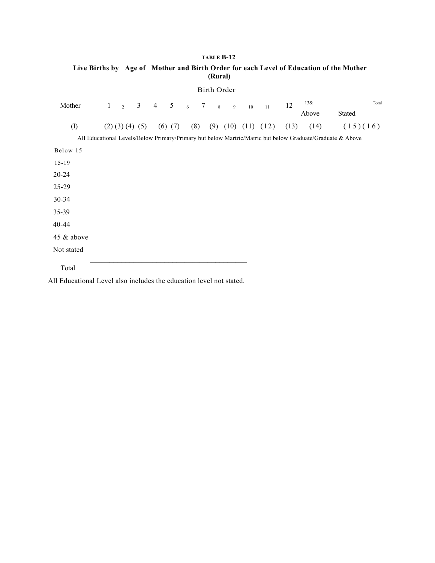# **TABLE B-12 Live Births by Age of Mother and Birth Order for each Level of Education of the Mother (Rural)**

| Mother     | $\mathbf{1}$ | $\overline{2}$          | $\mathfrak{Z}$ | $\overline{4}$ | 5           | $\sqrt{6}$ | 7 | $8\phantom{.0}$ | $\overline{9}$ | 10 | 11                         | 12   | 13&<br>Above | Stated                                                                                                    | Total |
|------------|--------------|-------------------------|----------------|----------------|-------------|------------|---|-----------------|----------------|----|----------------------------|------|--------------|-----------------------------------------------------------------------------------------------------------|-------|
| (I)        |              | $(2)$ $(3)$ $(4)$ $(5)$ |                |                | $(6)$ $(7)$ | (8)        |   |                 |                |    | $(9)$ $(10)$ $(11)$ $(12)$ | (13) | (14)         | (15)(16)                                                                                                  |       |
|            |              |                         |                |                |             |            |   |                 |                |    |                            |      |              | All Educational Levels/Below Primary/Primary but below Martric/Matric but below Graduate/Graduate & Above |       |
| Below 15   |              |                         |                |                |             |            |   |                 |                |    |                            |      |              |                                                                                                           |       |
| $15 - 19$  |              |                         |                |                |             |            |   |                 |                |    |                            |      |              |                                                                                                           |       |
| $20 - 24$  |              |                         |                |                |             |            |   |                 |                |    |                            |      |              |                                                                                                           |       |
| 25-29      |              |                         |                |                |             |            |   |                 |                |    |                            |      |              |                                                                                                           |       |
| 30-34      |              |                         |                |                |             |            |   |                 |                |    |                            |      |              |                                                                                                           |       |
| 35-39      |              |                         |                |                |             |            |   |                 |                |    |                            |      |              |                                                                                                           |       |
| 40-44      |              |                         |                |                |             |            |   |                 |                |    |                            |      |              |                                                                                                           |       |
| 45 & above |              |                         |                |                |             |            |   |                 |                |    |                            |      |              |                                                                                                           |       |
| Not stated |              |                         |                |                |             |            |   |                 |                |    |                            |      |              |                                                                                                           |       |
| Total      |              |                         |                |                |             |            |   |                 |                |    |                            |      |              |                                                                                                           |       |

Birth Order

All Educational Level also includes the education level not stated.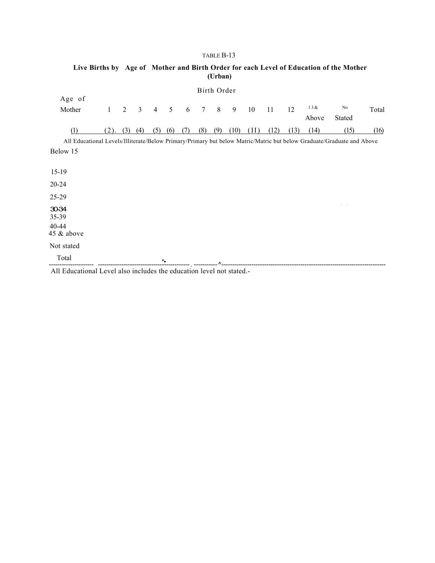|                                                                                                                       |              |     |     |                |                 |     |     | (Urban)     |      |      |      |      |              | Live Births by Age of Mother and Birth Order for each Level of Education of the Mother |       |
|-----------------------------------------------------------------------------------------------------------------------|--------------|-----|-----|----------------|-----------------|-----|-----|-------------|------|------|------|------|--------------|----------------------------------------------------------------------------------------|-------|
|                                                                                                                       |              |     |     |                |                 |     |     | Birth Order |      |      |      |      |              |                                                                                        |       |
| Age of                                                                                                                |              |     |     |                |                 |     |     |             |      |      |      |      |              |                                                                                        |       |
| Mother                                                                                                                | $\mathbf{1}$ | 2   | 3   | $\overline{4}$ | 5               | 6   | 7   | 8           | 9    | 10   | 11   | 12   | 13&<br>Above | No<br><b>Stated</b>                                                                    | Total |
| (1)                                                                                                                   | (2).         | (3) | (4) | (5)            | (6)             | (7) | (8) | (9)         | (10) | (II) | (12) | (13) | (14)         | (15)                                                                                   | (16)  |
| All Educational Levels/Illiterate/Below Primary/Primary but below Matric/Matric but below Graduate/Graduate and Above |              |     |     |                |                 |     |     |             |      |      |      |      |              |                                                                                        |       |
| Below 15                                                                                                              |              |     |     |                |                 |     |     |             |      |      |      |      |              |                                                                                        |       |
|                                                                                                                       |              |     |     |                |                 |     |     |             |      |      |      |      |              |                                                                                        |       |
| $15-19$                                                                                                               |              |     |     |                |                 |     |     |             |      |      |      |      |              |                                                                                        |       |
| $20 - 24$                                                                                                             |              |     |     |                |                 |     |     |             |      |      |      |      |              |                                                                                        |       |
| 25-29                                                                                                                 |              |     |     |                |                 |     |     |             |      |      |      |      |              |                                                                                        |       |
| 30-34<br>35-39<br>40-44<br>45 & above                                                                                 |              |     |     |                |                 |     |     |             |      |      |      |      |              |                                                                                        |       |
| Not stated                                                                                                            |              |     |     |                |                 |     |     |             |      |      |      |      |              |                                                                                        |       |
| Total                                                                                                                 |              |     |     |                | $\star_\bullet$ |     |     |             |      |      |      |      |              |                                                                                        |       |

All Educational Level also includes the education level not stated.-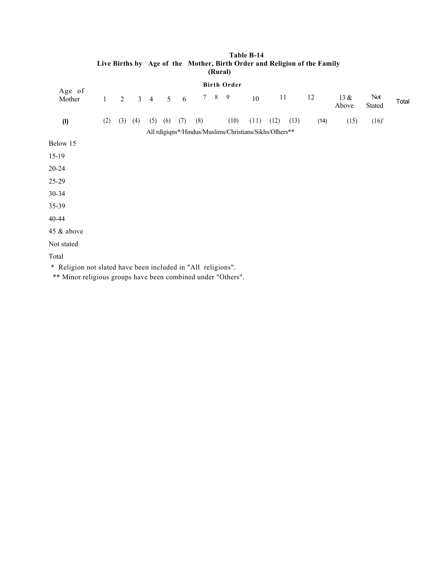| Age of     |              |     |                |                |     |     |                |         | <b>Birth Order</b> |                                                        |      |      |      |               |               |       |
|------------|--------------|-----|----------------|----------------|-----|-----|----------------|---------|--------------------|--------------------------------------------------------|------|------|------|---------------|---------------|-------|
| Mother     | $\mathbf{1}$ | 2   | 3 <sup>1</sup> | $\overline{4}$ | 5   | 6   | 7 <sup>7</sup> | $\,8\,$ | 9                  | 10                                                     | 11   |      | 12   | 13 &<br>Above | Not<br>Stated | Total |
| (1)        | (2)          | (3) | (4)            | (5)            | (6) | (7) | (8)            |         | (10)               | (11)                                                   | (12) | (13) | (14) | (15)          | (16)'         |       |
|            |              |     |                |                |     |     |                |         |                    | All rdigiqns*/Hindus/Muslims/Christians/Sikhs/Olhers** |      |      |      |               |               |       |
| Below 15   |              |     |                |                |     |     |                |         |                    |                                                        |      |      |      |               |               |       |
| $15-19$    |              |     |                |                |     |     |                |         |                    |                                                        |      |      |      |               |               |       |
| $20 - 24$  |              |     |                |                |     |     |                |         |                    |                                                        |      |      |      |               |               |       |
| 25-29      |              |     |                |                |     |     |                |         |                    |                                                        |      |      |      |               |               |       |
| $30 - 34$  |              |     |                |                |     |     |                |         |                    |                                                        |      |      |      |               |               |       |
| 35-39      |              |     |                |                |     |     |                |         |                    |                                                        |      |      |      |               |               |       |
| 40-44      |              |     |                |                |     |     |                |         |                    |                                                        |      |      |      |               |               |       |
| 45 & above |              |     |                |                |     |     |                |         |                    |                                                        |      |      |      |               |               |       |
| Not stated |              |     |                |                |     |     |                |         |                    |                                                        |      |      |      |               |               |       |
| Total      |              |     |                |                |     |     |                |         |                    |                                                        |      |      |      |               |               |       |
|            |              |     |                |                |     |     |                |         |                    |                                                        |      |      |      |               |               |       |

#### **Table B-14 Live Births by Age of the Mother, Birth Order and Religion of the Family (Rural)**

\* Religion not slated have been included in "All religions".

\*\* Minor religious groups have been combined under "Others".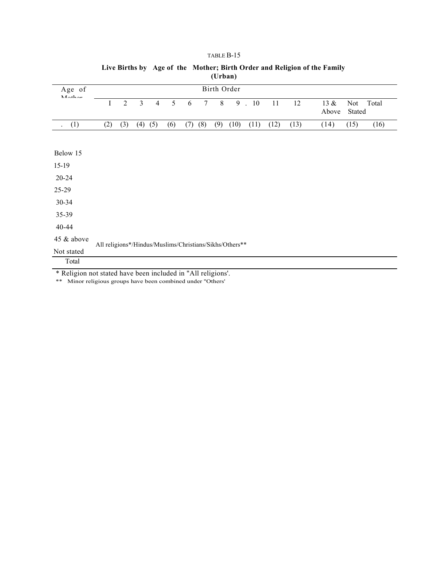|                                                                                                                             |                                                         |                |                |                |     |     |        | $\sqrt{2}$ |             |      |      |      |               |               |       |
|-----------------------------------------------------------------------------------------------------------------------------|---------------------------------------------------------|----------------|----------------|----------------|-----|-----|--------|------------|-------------|------|------|------|---------------|---------------|-------|
| Age of<br>$M$ $A+$ $A$                                                                                                      |                                                         |                |                |                |     |     |        |            | Birth Order |      |      |      |               |               |       |
|                                                                                                                             | I                                                       | $\overline{2}$ | $\overline{3}$ | $\overline{4}$ | 5   | 6   | $\tau$ | $8\,$      | 9           | .10  | 11   | 12   | 13 &<br>Above | Not<br>Stated | Total |
| (1)                                                                                                                         | (2)                                                     | (3)            | (4)            | (5)            | (6) | (7) | (8)    | (9)        | (10)        | (11) | (12) | (13) | (14)          | (15)          | (16)  |
|                                                                                                                             |                                                         |                |                |                |     |     |        |            |             |      |      |      |               |               |       |
| Below 15                                                                                                                    |                                                         |                |                |                |     |     |        |            |             |      |      |      |               |               |       |
| $15-19$                                                                                                                     |                                                         |                |                |                |     |     |        |            |             |      |      |      |               |               |       |
| $20 - 24$                                                                                                                   |                                                         |                |                |                |     |     |        |            |             |      |      |      |               |               |       |
| $25-29$                                                                                                                     |                                                         |                |                |                |     |     |        |            |             |      |      |      |               |               |       |
| $30 - 34$                                                                                                                   |                                                         |                |                |                |     |     |        |            |             |      |      |      |               |               |       |
| 35-39                                                                                                                       |                                                         |                |                |                |     |     |        |            |             |      |      |      |               |               |       |
| 40-44                                                                                                                       |                                                         |                |                |                |     |     |        |            |             |      |      |      |               |               |       |
| 45 & above                                                                                                                  | All religions*/Hindus/Muslims/Christians/Sikhs/Others** |                |                |                |     |     |        |            |             |      |      |      |               |               |       |
| Not stated                                                                                                                  |                                                         |                |                |                |     |     |        |            |             |      |      |      |               |               |       |
| Total                                                                                                                       |                                                         |                |                |                |     |     |        |            |             |      |      |      |               |               |       |
| * Religion not stated have been included in "All religions'.<br>** Minor religious groups have been combined under "Others" |                                                         |                |                |                |     |     |        |            |             |      |      |      |               |               |       |

# **Live Births by Age of the Mother; Birth Order and Religion of the Family (Urban)**

TABLE B-15

Minor religious groups have been combined under "Others'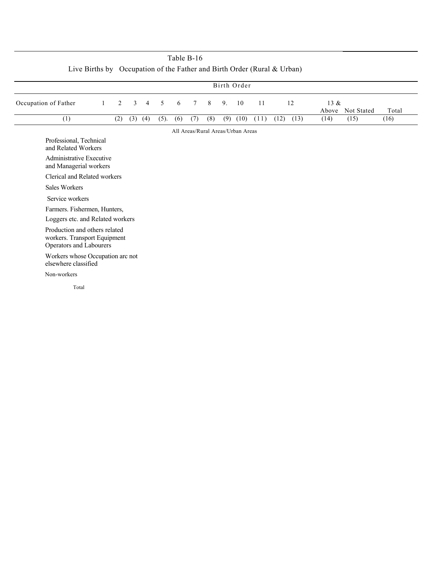|                                                                                          |                                                                                     |     |              |                |      |     |        |     |     | Birth Order |      |      |      |                  |            |       |
|------------------------------------------------------------------------------------------|-------------------------------------------------------------------------------------|-----|--------------|----------------|------|-----|--------|-----|-----|-------------|------|------|------|------------------|------------|-------|
| Occupation of Father                                                                     | -1                                                                                  | 2   | $\mathbf{3}$ | $\overline{4}$ | 5    | 6   | $\tau$ | 8   | 9.  | 10          | 11   |      | 12   | $13 \&$<br>Above | Not Stated | Total |
| (1)                                                                                      |                                                                                     | (2) | (3)          | (4)            | (5). | (6) | (7)    | (8) | (9) | (10)        | (11) | (12) | (13) | (14)             | (15)       | (16)  |
|                                                                                          | All Areas/Rural Areas/Urban Areas<br>Professional, Technical<br>and Related Workers |     |              |                |      |     |        |     |     |             |      |      |      |                  |            |       |
|                                                                                          | <b>Administrative Executive</b><br>and Managerial workers                           |     |              |                |      |     |        |     |     |             |      |      |      |                  |            |       |
|                                                                                          | Clerical and Related workers                                                        |     |              |                |      |     |        |     |     |             |      |      |      |                  |            |       |
|                                                                                          | <b>Sales Workers</b>                                                                |     |              |                |      |     |        |     |     |             |      |      |      |                  |            |       |
|                                                                                          |                                                                                     |     |              |                |      |     |        |     |     |             |      |      |      |                  |            |       |
| Service workers                                                                          |                                                                                     |     |              |                |      |     |        |     |     |             |      |      |      |                  |            |       |
| Farmers. Fishermen, Hunters,                                                             |                                                                                     |     |              |                |      |     |        |     |     |             |      |      |      |                  |            |       |
| Loggers etc. and Related workers                                                         |                                                                                     |     |              |                |      |     |        |     |     |             |      |      |      |                  |            |       |
| Production and others related<br>workers. Transport Equipment<br>Operators and Labourers |                                                                                     |     |              |                |      |     |        |     |     |             |      |      |      |                  |            |       |
| Workers whose Occupation arc not<br>elsewhere classified                                 |                                                                                     |     |              |                |      |     |        |     |     |             |      |      |      |                  |            |       |
| Non-workers                                                                              |                                                                                     |     |              |                |      |     |        |     |     |             |      |      |      |                  |            |       |
| Total                                                                                    |                                                                                     |     |              |                |      |     |        |     |     |             |      |      |      |                  |            |       |

| Table B-16                                                                 |  |
|----------------------------------------------------------------------------|--|
| Live Births by Occupation of the Father and Birth Order (Rural $\&$ Urban) |  |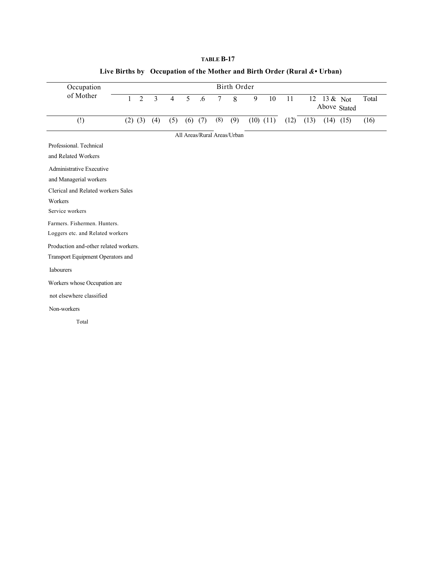| Occupation                            |              |                |                |                |   |             |        | Birth Order                 |   |               |      |      |          |               |       |
|---------------------------------------|--------------|----------------|----------------|----------------|---|-------------|--------|-----------------------------|---|---------------|------|------|----------|---------------|-------|
| of Mother                             | $\mathbf{1}$ | $\overline{2}$ | $\overline{3}$ | $\overline{4}$ | 5 | .6          | $\tau$ | 8                           | 9 | 10            | 11   | 12   | 13 & Not | Above Stated  | Total |
| $\left( \underline{!} \right)$        |              | $(2)$ $(3)$    | (4)            | (5)            |   | $(6)$ $(7)$ | (8)    | (9)                         |   | $(10)$ $(11)$ | (12) | (13) |          | $(14)$ $(15)$ | (16)  |
|                                       |              |                |                |                |   |             |        | All Areas/Rural Areas/Urban |   |               |      |      |          |               |       |
| Professional, Technical               |              |                |                |                |   |             |        |                             |   |               |      |      |          |               |       |
| and Related Workers                   |              |                |                |                |   |             |        |                             |   |               |      |      |          |               |       |
| <b>Administrative Executive</b>       |              |                |                |                |   |             |        |                             |   |               |      |      |          |               |       |
| and Managerial workers                |              |                |                |                |   |             |        |                             |   |               |      |      |          |               |       |
| Clerical and Related workers Sales    |              |                |                |                |   |             |        |                             |   |               |      |      |          |               |       |
| Workers                               |              |                |                |                |   |             |        |                             |   |               |      |      |          |               |       |
| Service workers                       |              |                |                |                |   |             |        |                             |   |               |      |      |          |               |       |
| Farmers. Fishermen. Hunters.          |              |                |                |                |   |             |        |                             |   |               |      |      |          |               |       |
| Loggers etc. and Related workers      |              |                |                |                |   |             |        |                             |   |               |      |      |          |               |       |
| Production and-other related workers. |              |                |                |                |   |             |        |                             |   |               |      |      |          |               |       |
| Transport Equipment Operators and     |              |                |                |                |   |             |        |                             |   |               |      |      |          |               |       |
| Iabourers                             |              |                |                |                |   |             |        |                             |   |               |      |      |          |               |       |
| Workers whose Occupation are          |              |                |                |                |   |             |        |                             |   |               |      |      |          |               |       |
| not elsewhere classified              |              |                |                |                |   |             |        |                             |   |               |      |      |          |               |       |
| Non-workers                           |              |                |                |                |   |             |        |                             |   |               |      |      |          |               |       |
| Total                                 |              |                |                |                |   |             |        |                             |   |               |      |      |          |               |       |

# **Live Births by Occupation of the Mother and Birth Order (Rural** *&•* **Urban)**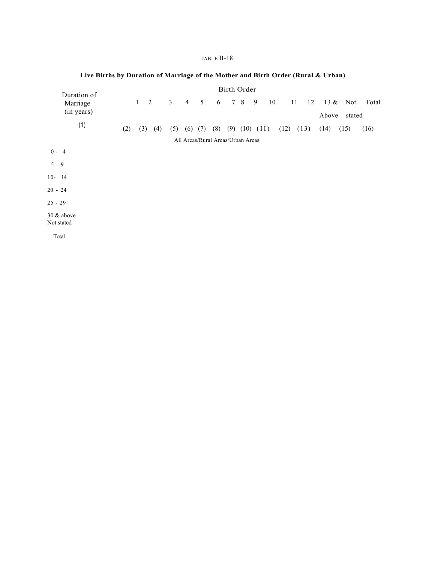| Duration of                 |     |             |     |                |                |     |                                   | <b>Birth Order</b> |              |      |    |      |      |    |         |        |       |
|-----------------------------|-----|-------------|-----|----------------|----------------|-----|-----------------------------------|--------------------|--------------|------|----|------|------|----|---------|--------|-------|
| Marriage<br>(in years)      |     | $1 \quad 2$ |     | $\mathfrak{Z}$ | $\overline{4}$ | 5   | 6                                 |                    | 7 8          | 9    | 10 |      | 11   | 12 | 13 $\&$ | Not    | Total |
|                             |     |             |     |                |                |     |                                   |                    |              |      |    |      |      |    | Above   | stated |       |
| (1)                         | (2) | (3)         | (4) | (5)            | (6)            | (7) | (8)                               |                    | $(9)$ $(10)$ | (II) |    | (12) | (13) |    | (14)    | (15)   | (16)  |
|                             |     |             |     |                |                |     | All Areas/Rural Areas/Urban Areas |                    |              |      |    |      |      |    |         |        |       |
| $0 - 4$                     |     |             |     |                |                |     |                                   |                    |              |      |    |      |      |    |         |        |       |
| $5 - 9$                     |     |             |     |                |                |     |                                   |                    |              |      |    |      |      |    |         |        |       |
| $10 - 14$                   |     |             |     |                |                |     |                                   |                    |              |      |    |      |      |    |         |        |       |
| $20 - 24$                   |     |             |     |                |                |     |                                   |                    |              |      |    |      |      |    |         |        |       |
| $25 - 29$                   |     |             |     |                |                |     |                                   |                    |              |      |    |      |      |    |         |        |       |
| $30 \&$ above<br>Not stated |     |             |     |                |                |     |                                   |                    |              |      |    |      |      |    |         |        |       |
| Total                       |     |             |     |                |                |     |                                   |                    |              |      |    |      |      |    |         |        |       |

# **Live Births by Duration of Marriage of the Mother and Birth Order (Rural & Urban)**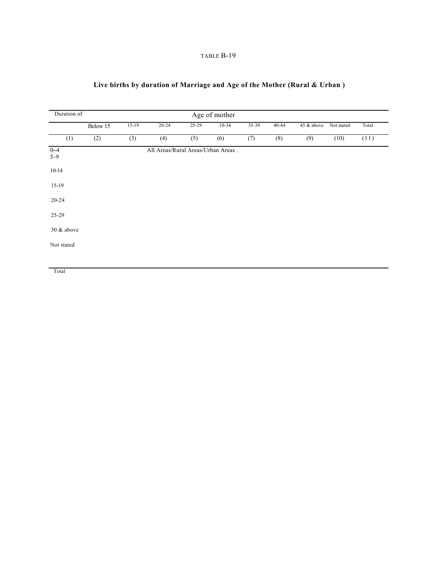# **Live births by duration of Marriage and Age of the Mother (Rural & Urban )**

| Duration of      |          | Age of mother |                                    |       |            |       |       |            |            |       |  |  |  |  |
|------------------|----------|---------------|------------------------------------|-------|------------|-------|-------|------------|------------|-------|--|--|--|--|
|                  | Below 15 | $15-19$       | $20 - 24$                          | 25-29 | $.10 - 34$ | 35-39 | 40-44 | 45 & above | Not stated | Total |  |  |  |  |
| (1)              | (2)      | (3)           | (4)                                | (5)   | (6)        | (7)   | (8)   | (9)        | (10)       | (11)  |  |  |  |  |
| $0 - 4$<br>$5-9$ |          |               | All Areas/Rural Areas/Urban Areas. |       |            |       |       |            |            |       |  |  |  |  |
| $10-14$          |          |               |                                    |       |            |       |       |            |            |       |  |  |  |  |
| $15-19$          |          |               |                                    |       |            |       |       |            |            |       |  |  |  |  |
| $20 - 24$        |          |               |                                    |       |            |       |       |            |            |       |  |  |  |  |
| 25-29            |          |               |                                    |       |            |       |       |            |            |       |  |  |  |  |
| 30 & above       |          |               |                                    |       |            |       |       |            |            |       |  |  |  |  |
| Not stated       |          |               |                                    |       |            |       |       |            |            |       |  |  |  |  |
|                  |          |               |                                    |       |            |       |       |            |            |       |  |  |  |  |

Total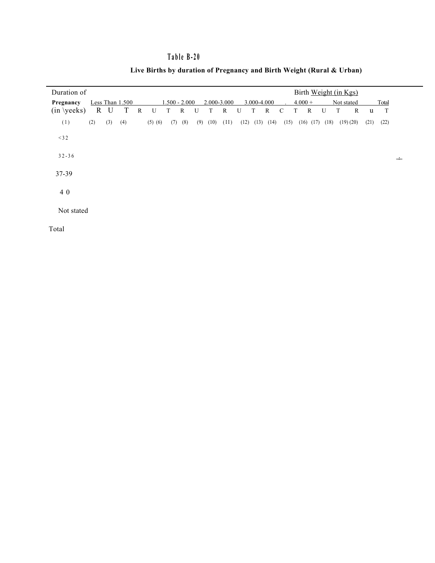# **Table B-20**

| Duration of     |              |     |                 |              |             |                 |             |     |      |              |      |             |      |               |           |               | Birth Weight (in Kgs) |            |          |      |             |  |
|-----------------|--------------|-----|-----------------|--------------|-------------|-----------------|-------------|-----|------|--------------|------|-------------|------|---------------|-----------|---------------|-----------------------|------------|----------|------|-------------|--|
| Pregnancy       |              |     | Less Than 1.500 |              |             | $1.500 - 2.000$ |             |     |      | 2.000-3.000  |      | 3.000-4.000 |      |               | $4.000 +$ |               |                       | Not stated |          |      | Total       |  |
| $(in \vee eks)$ | $\mathbf{R}$ | U   | T               | $\mathbb{R}$ | U           | T               | $\mathbf R$ | U   | T    | $\mathbb{R}$ | U    | T           | R    | $\mathcal{C}$ | T         | $\mathbb{R}$  | U                     | T          | R        | u    | $\mathbf T$ |  |
| (1)             | (2)          | (3) | (4)             |              | $(5)$ $(6)$ | (7)             | (8)         | (9) | (10) | (II)         | (12) | (13)        | (14) | (15)          |           | $(16)$ $(17)$ | (18)                  |            | (19)(20) | (21) | (22)        |  |
| $<$ 3 2         |              |     |                 |              |             |                 |             |     |      |              |      |             |      |               |           |               |                       |            |          |      |             |  |
| $32 - 36$       |              |     |                 |              |             |                 |             |     |      |              |      |             |      |               |           |               |                       |            |          |      |             |  |
| $37 - 39$       |              |     |                 |              |             |                 |             |     |      |              |      |             |      |               |           |               |                       |            |          |      |             |  |
| 4 0             |              |     |                 |              |             |                 |             |     |      |              |      |             |      |               |           |               |                       |            |          |      |             |  |
| Not stated      |              |     |                 |              |             |                 |             |     |      |              |      |             |      |               |           |               |                       |            |          |      |             |  |

# **Live Births by duration of Pregnancy and Birth Weight (Rural & Urban)**

Total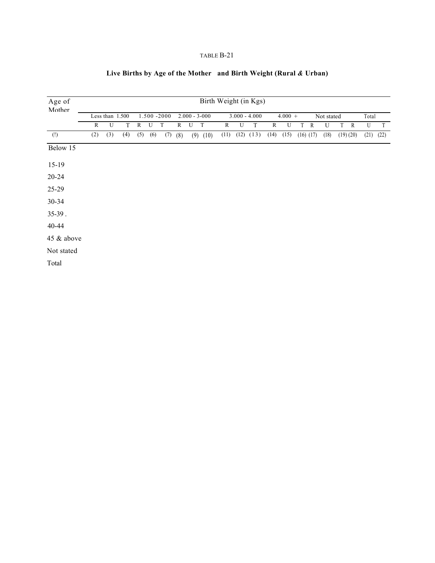# **Live Births by Age of the Mother and Birth Weight (Rural** *&* **Urban)**

| Age of                         | Birth Weight (in Kgs) |                 |     |              |     |             |              |                   |              |      |      |                 |      |           |   |               |            |   |              |       |      |
|--------------------------------|-----------------------|-----------------|-----|--------------|-----|-------------|--------------|-------------------|--------------|------|------|-----------------|------|-----------|---|---------------|------------|---|--------------|-------|------|
| Mother                         |                       | Less than 1.500 |     |              |     | 1.500 -2000 |              | $2.000 - 3 - 000$ |              |      |      | $3.000 - 4.000$ |      | $4.000 +$ |   |               | Not stated |   |              | Total |      |
|                                | R                     | U               | T   | $\mathbb{R}$ | U   | T           | $\mathbf{R}$ | U                 | $\mathbf T$  | R    | U    | T               | R    | U         | T | R             | U          | T | $\mathbb{R}$ | U     | T    |
| $\left( \underline{!} \right)$ | (2)                   | (3)             | (4) | (5)          | (6) | (7)         | (8)          |                   | $(9)$ $(10)$ | (11) | (12) | (13)            | (14) | (15)      |   | $(16)$ $(17)$ | (18)       |   | (19)(20)     | (21)  | (22) |
| Below 15                       |                       |                 |     |              |     |             |              |                   |              |      |      |                 |      |           |   |               |            |   |              |       |      |
| $15-19$                        |                       |                 |     |              |     |             |              |                   |              |      |      |                 |      |           |   |               |            |   |              |       |      |
| $20 - 24$                      |                       |                 |     |              |     |             |              |                   |              |      |      |                 |      |           |   |               |            |   |              |       |      |
| 25-29                          |                       |                 |     |              |     |             |              |                   |              |      |      |                 |      |           |   |               |            |   |              |       |      |
| $30 - 34$                      |                       |                 |     |              |     |             |              |                   |              |      |      |                 |      |           |   |               |            |   |              |       |      |
| $35-39$ .                      |                       |                 |     |              |     |             |              |                   |              |      |      |                 |      |           |   |               |            |   |              |       |      |
| 40-44                          |                       |                 |     |              |     |             |              |                   |              |      |      |                 |      |           |   |               |            |   |              |       |      |
| 45 & above                     |                       |                 |     |              |     |             |              |                   |              |      |      |                 |      |           |   |               |            |   |              |       |      |
| Not stated                     |                       |                 |     |              |     |             |              |                   |              |      |      |                 |      |           |   |               |            |   |              |       |      |
| Total                          |                       |                 |     |              |     |             |              |                   |              |      |      |                 |      |           |   |               |            |   |              |       |      |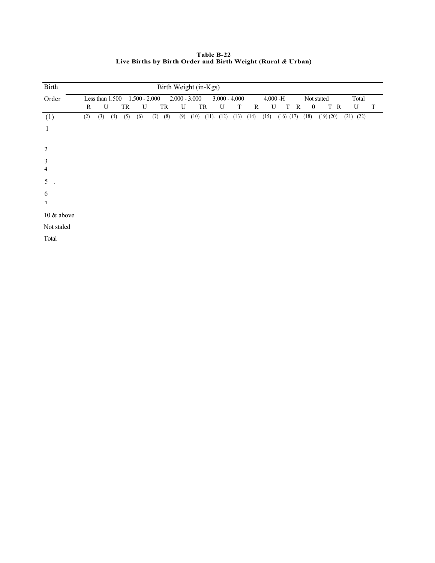**Table B-22 Live Births by Birth Order and Birth Weight (Rural** *&* **Urban)**

| Birth               | Birth Weight (in-Kgs) |                 |     |     |                 |     |     |                 |      |          |                 |      |      |             |               |   |                  |            |     |               |       |             |
|---------------------|-----------------------|-----------------|-----|-----|-----------------|-----|-----|-----------------|------|----------|-----------------|------|------|-------------|---------------|---|------------------|------------|-----|---------------|-------|-------------|
| Order               |                       | Less than 1.500 |     |     | $1.500 - 2.000$ |     |     | $2.000 - 3.000$ |      |          | $3.000 - 4.000$ |      |      | $4.000 - H$ |               |   |                  | Not stated |     |               | Total |             |
|                     | R                     | U               |     | TR  | U               |     | TR  | U               |      | TR       | U               | T    | R    | U           | T             | R | $\boldsymbol{0}$ |            | T R |               | U     | $\mathbf T$ |
| (1)                 | (2)                   | (3)             | (4) | (5) | (6)             | (7) | (8) | (9)             | (10) | $(11)$ . | (12)            | (13) | (14) | (15)        | $(16)$ $(17)$ |   | (18)             | (19)(20)   |     | $(21)$ $(22)$ |       |             |
| 1                   |                       |                 |     |     |                 |     |     |                 |      |          |                 |      |      |             |               |   |                  |            |     |               |       |             |
| 2                   |                       |                 |     |     |                 |     |     |                 |      |          |                 |      |      |             |               |   |                  |            |     |               |       |             |
| $\mathfrak{Z}$<br>4 |                       |                 |     |     |                 |     |     |                 |      |          |                 |      |      |             |               |   |                  |            |     |               |       |             |
| 5 <sup>1</sup>      |                       |                 |     |     |                 |     |     |                 |      |          |                 |      |      |             |               |   |                  |            |     |               |       |             |
| 6                   |                       |                 |     |     |                 |     |     |                 |      |          |                 |      |      |             |               |   |                  |            |     |               |       |             |
| $\tau$              |                       |                 |     |     |                 |     |     |                 |      |          |                 |      |      |             |               |   |                  |            |     |               |       |             |
| 10 & above          |                       |                 |     |     |                 |     |     |                 |      |          |                 |      |      |             |               |   |                  |            |     |               |       |             |
| Not staled          |                       |                 |     |     |                 |     |     |                 |      |          |                 |      |      |             |               |   |                  |            |     |               |       |             |
| Total               |                       |                 |     |     |                 |     |     |                 |      |          |                 |      |      |             |               |   |                  |            |     |               |       |             |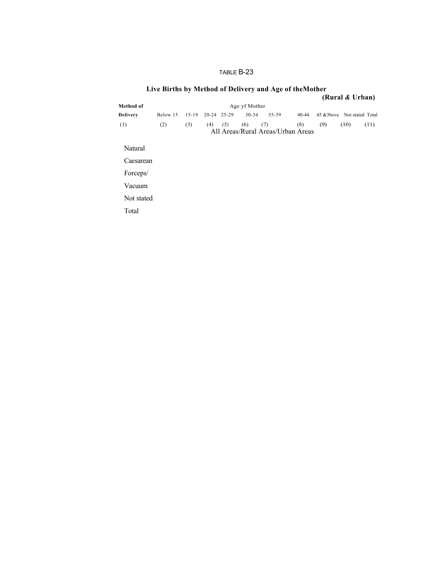|            |          |           |     |             |               | Live births by Method of Defivery and Age of the Mother |       |                             |                 |      |
|------------|----------|-----------|-----|-------------|---------------|---------------------------------------------------------|-------|-----------------------------|-----------------|------|
|            |          |           |     |             |               |                                                         |       |                             | (Rural & Urban) |      |
| Method of  |          |           |     |             | Age yf Mother |                                                         |       |                             |                 |      |
| Delivery   | Below 15 | $15 - 19$ |     | 20-24 25-29 | $30 - 34$     | $35 - 39$                                               | 40-44 | 45 & 3bove Not stated Total |                 |      |
| (1)        | (2)      | (3)       | (4) | (5)         | (6)           | (7)<br>All Areas/Rural Areas/Urban Areas                | (8)   | (9)                         | (10)            | (11) |
| Natural    |          |           |     |             |               |                                                         |       |                             |                 |      |
| Caesarean  |          |           |     |             |               |                                                         |       |                             |                 |      |
| Forceps/   |          |           |     |             |               |                                                         |       |                             |                 |      |
| Vacuum     |          |           |     |             |               |                                                         |       |                             |                 |      |
| Not stated |          |           |     |             |               |                                                         |       |                             |                 |      |
| Total      |          |           |     |             |               |                                                         |       |                             |                 |      |
|            |          |           |     |             |               |                                                         |       |                             |                 |      |

# **Live Births by Method of Delivery and Age of theMother**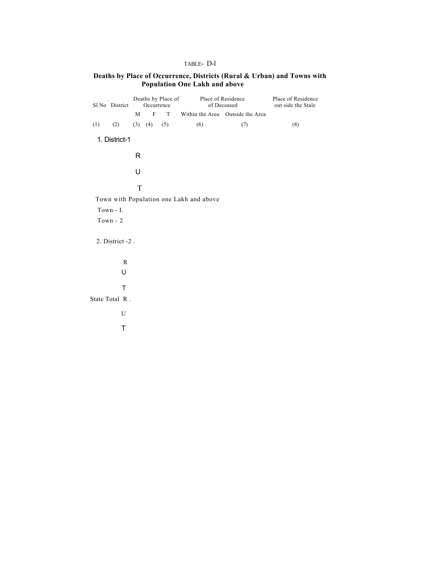#### TABLE- D-l

#### **Deaths by Place of Occurrence, Districts (Rural & Urban) and Towns with Population One Lakh and above**

|     | Sl.No District  | M | Occurrence<br>$\mathbf{F}$ | Deaths by Place of<br>T |                                         | Place of Residence<br>of Deceased<br>Within the Area Outside the Area | Place of Residence<br>out side the Stale |
|-----|-----------------|---|----------------------------|-------------------------|-----------------------------------------|-----------------------------------------------------------------------|------------------------------------------|
| (1) | (2)             |   | $(3)$ $(4)$                | (5)                     | (6)                                     | (7)                                                                   | (8)                                      |
|     | 1. District-1   |   |                            |                         |                                         |                                                                       |                                          |
|     |                 | R |                            |                         |                                         |                                                                       |                                          |
|     |                 | U |                            |                         |                                         |                                                                       |                                          |
|     |                 | T |                            |                         |                                         |                                                                       |                                          |
|     |                 |   |                            |                         | Town with Population one Lakh and above |                                                                       |                                          |
|     | Town - I.       |   |                            |                         |                                         |                                                                       |                                          |
|     | Town - 2        |   |                            |                         |                                         |                                                                       |                                          |
|     | 2. District -2. |   |                            |                         |                                         |                                                                       |                                          |
|     | R               |   |                            |                         |                                         |                                                                       |                                          |
|     | U               |   |                            |                         |                                         |                                                                       |                                          |
|     |                 |   |                            |                         |                                         |                                                                       |                                          |
|     | T               |   |                            |                         |                                         |                                                                       |                                          |
|     | State Total R.  |   |                            |                         |                                         |                                                                       |                                          |
|     | U               |   |                            |                         |                                         |                                                                       |                                          |
|     | T               |   |                            |                         |                                         |                                                                       |                                          |
|     |                 |   |                            |                         |                                         |                                                                       |                                          |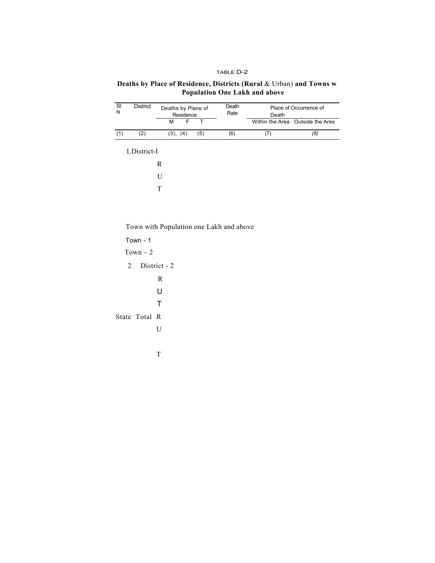#### TABLE D-2

#### **Deaths by Place of Residence, Districts (Rural** & Urban) **and Towns w Population One Lakh and above**

| SI.<br>N | District      | Deaths by Place of<br>Residence |          |                         | Death<br>Rate                           | Death | Place of Occurrence of           |
|----------|---------------|---------------------------------|----------|-------------------------|-----------------------------------------|-------|----------------------------------|
|          |               | M                               | F        | $\overline{\mathsf{T}}$ |                                         |       | Within the Area Outside the Ares |
| (1)      | (2)           |                                 | (3), (4) | (5)                     | (6)                                     | (7)   | (8)                              |
|          | 1.District-I  |                                 |          |                         |                                         |       |                                  |
|          |               | $\mathbf R$                     |          |                         |                                         |       |                                  |
|          |               | U                               |          |                         |                                         |       |                                  |
|          |               | T                               |          |                         |                                         |       |                                  |
|          |               |                                 |          |                         |                                         |       |                                  |
|          |               |                                 |          |                         |                                         |       |                                  |
|          |               |                                 |          |                         | Town with Population one Lakh and above |       |                                  |
|          | Town - $1$    |                                 |          |                         |                                         |       |                                  |
|          | $Town - 2$    |                                 |          |                         |                                         |       |                                  |
| 2        |               | District - 2                    |          |                         |                                         |       |                                  |
|          |               | $\mathbf R$                     |          |                         |                                         |       |                                  |
|          |               | U                               |          |                         |                                         |       |                                  |
|          |               | т                               |          |                         |                                         |       |                                  |
|          | State Total R |                                 |          |                         |                                         |       |                                  |
|          |               | U                               |          |                         |                                         |       |                                  |
|          |               |                                 |          |                         |                                         |       |                                  |
|          |               | T                               |          |                         |                                         |       |                                  |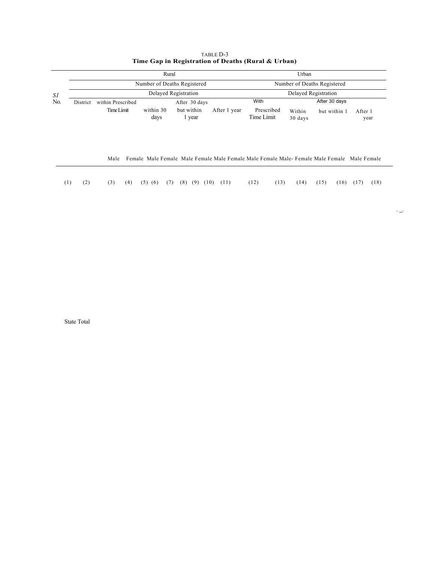|     |          |                   | Rural              |                             |              |                                                                                            | Urban             |                             |                 |
|-----|----------|-------------------|--------------------|-----------------------------|--------------|--------------------------------------------------------------------------------------------|-------------------|-----------------------------|-----------------|
|     |          |                   |                    | Number of Deaths Registered |              |                                                                                            |                   | Number of Deaths Registered |                 |
| SΙ  |          |                   |                    | Delayed Registration        |              |                                                                                            |                   | Delayed Registration        |                 |
| No. | District | within Prescribed |                    | After 30 days               |              | With                                                                                       |                   | After 30 days               |                 |
|     |          | Time Limit        | within 30<br>days  | but within<br>1 year        | After 1 year | Prescribed<br>Time Limit                                                                   | Within<br>30 days | but within 1                | After 1<br>year |
|     |          | Male              |                    |                             |              | Female Male Female Male Female Male Female Male Female Male-Female Male Female Male Female |                   |                             |                 |
| (1) | (2)      | (3)<br>(4)        | $(5)$ $(6)$<br>(7) | (8)<br>(9)                  | (10)<br>(11) | (12)<br>(13)                                                                               | (14)              | (15)<br>(16)                | (18)<br>(17)    |

| TABLE D-3                                          |  |
|----------------------------------------------------|--|
| Time Gap in Registration of Deaths (Rural & Urban) |  |

State Total

. <br>  $\rightarrow$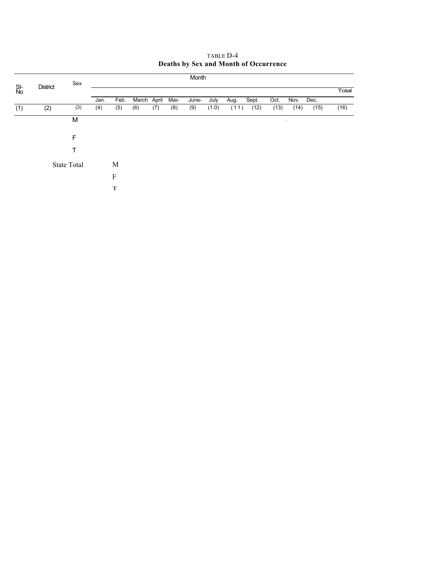|           |                 | Sex                |      |      |             |     |     | Month |       |      |       |      |        |      |       |
|-----------|-----------------|--------------------|------|------|-------------|-----|-----|-------|-------|------|-------|------|--------|------|-------|
| SI-<br>No | <b>District</b> |                    |      |      |             |     |     |       |       |      |       |      |        |      | Total |
|           |                 |                    | Jan. | Feb. | March April |     | Mav | June- | July  | Aug. | Sept. | Oct. | Nov.   | Dec, |       |
| (1)       | (2)             | (3)                | (4)  | (5)  | (6)         | (7) | (8) | (9)   | (1.0) | (11) | (12)  | (13) | (14)   | (15) | (16)  |
|           |                 | M                  |      |      |             |     |     |       |       |      |       |      | $\sim$ |      |       |
|           |                 | F                  |      |      |             |     |     |       |       |      |       |      |        |      |       |
|           |                 |                    |      |      |             |     |     |       |       |      |       |      |        |      |       |
|           |                 | <b>State Total</b> |      | M    |             |     |     |       |       |      |       |      |        |      |       |
|           |                 |                    |      | F    |             |     |     |       |       |      |       |      |        |      |       |
|           |                 |                    |      | T    |             |     |     |       |       |      |       |      |        |      |       |

#### TABLE D-4 **Deaths by Sex and Month of Occurrence**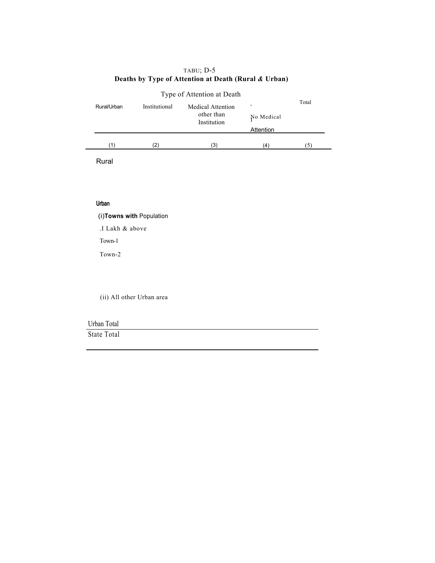| Type of Attention at Death |               |                           |            |       |  |  |  |  |  |  |
|----------------------------|---------------|---------------------------|------------|-------|--|--|--|--|--|--|
| Rural/Urban                | Institutional | <b>Medical Attention</b>  |            | Total |  |  |  |  |  |  |
|                            |               | other than<br>Institution | No Medical |       |  |  |  |  |  |  |
|                            |               |                           | Attention  |       |  |  |  |  |  |  |
| (1)                        | '2)           | (3)                       | (4)        |       |  |  |  |  |  |  |

#### TABU; D-5  **Deaths by Type of Attention at Death (Rural** *&* **Urban)**

Rural

#### **Urban**

(i)**Towns with** Population

.I Lakh & above

Town-1

Town-2

(ii) All other Urban area

| Urban Total |  |
|-------------|--|
| State Total |  |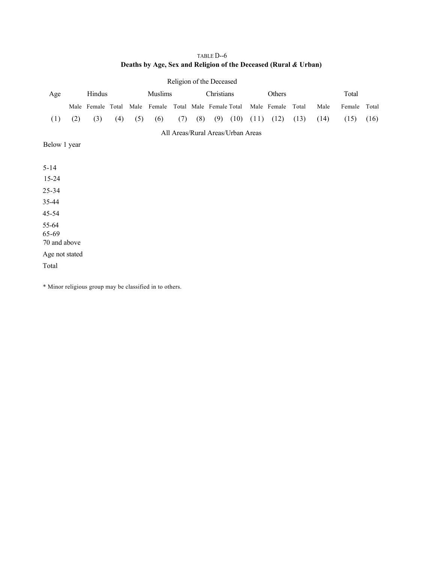# TABLE D--6 **Deaths by Age, Sex and Religion of the Deceased (Rural** *&* **Urban)**

| Age                            |     | Hindus            |     |     | Muslims                             |     |     | Christians                        |      |      | Others      |       |      | Total  |       |
|--------------------------------|-----|-------------------|-----|-----|-------------------------------------|-----|-----|-----------------------------------|------|------|-------------|-------|------|--------|-------|
|                                |     | Male Female Total |     |     | Male Female Total Male Female Total |     |     |                                   |      |      | Male Female | Total | Male | Female | Total |
| (1)                            | (2) | (3)               | (4) | (5) | (6)                                 | (7) | (8) | (9)                               | (10) | (11) | (12)        | (13)  | (14) | (15)   | (16)  |
|                                |     |                   |     |     |                                     |     |     | All Areas/Rural Areas/Urban Areas |      |      |             |       |      |        |       |
| Below 1 year                   |     |                   |     |     |                                     |     |     |                                   |      |      |             |       |      |        |       |
|                                |     |                   |     |     |                                     |     |     |                                   |      |      |             |       |      |        |       |
| $5 - 14$                       |     |                   |     |     |                                     |     |     |                                   |      |      |             |       |      |        |       |
| $15 - 24$                      |     |                   |     |     |                                     |     |     |                                   |      |      |             |       |      |        |       |
| $25 - 34$                      |     |                   |     |     |                                     |     |     |                                   |      |      |             |       |      |        |       |
| 35-44                          |     |                   |     |     |                                     |     |     |                                   |      |      |             |       |      |        |       |
| 45-54                          |     |                   |     |     |                                     |     |     |                                   |      |      |             |       |      |        |       |
| 55-64<br>65-69<br>70 and above |     |                   |     |     |                                     |     |     |                                   |      |      |             |       |      |        |       |
| Age not stated                 |     |                   |     |     |                                     |     |     |                                   |      |      |             |       |      |        |       |
| Total                          |     |                   |     |     |                                     |     |     |                                   |      |      |             |       |      |        |       |
|                                |     |                   |     |     |                                     |     |     |                                   |      |      |             |       |      |        |       |

Religion of the Deceased

\* Minor religious group may be classified in to others.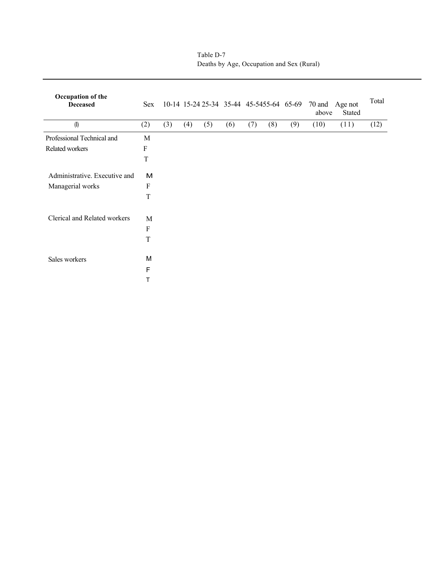| Occupation of the<br><b>Deceased</b> | Sex       |     |     |     |     |     |     |     | above | 10-14 15-24 25-34 35-44 45-5455-64 65-69 70 and Age not<br>Stated | Total |
|--------------------------------------|-----------|-----|-----|-----|-----|-----|-----|-----|-------|-------------------------------------------------------------------|-------|
| (1)                                  | (2)       | (3) | (4) | (5) | (6) | (7) | (8) | (9) | (10)  | (11)                                                              | (12)  |
| Professional Technical and           | M         |     |     |     |     |     |     |     |       |                                                                   |       |
| Related workers                      | $\rm F$   |     |     |     |     |     |     |     |       |                                                                   |       |
|                                      | T         |     |     |     |     |     |     |     |       |                                                                   |       |
| Administrative. Executive and        | M         |     |     |     |     |     |     |     |       |                                                                   |       |
| Managerial works                     | ${\bf F}$ |     |     |     |     |     |     |     |       |                                                                   |       |
|                                      | T         |     |     |     |     |     |     |     |       |                                                                   |       |
| Clerical and Related workers         | M         |     |     |     |     |     |     |     |       |                                                                   |       |
|                                      | $\rm F$   |     |     |     |     |     |     |     |       |                                                                   |       |
|                                      | T         |     |     |     |     |     |     |     |       |                                                                   |       |
| Sales workers                        | M         |     |     |     |     |     |     |     |       |                                                                   |       |
|                                      | F         |     |     |     |     |     |     |     |       |                                                                   |       |
|                                      | Т         |     |     |     |     |     |     |     |       |                                                                   |       |

Table D-7 Deaths by Age, Occupation and Sex (Rural)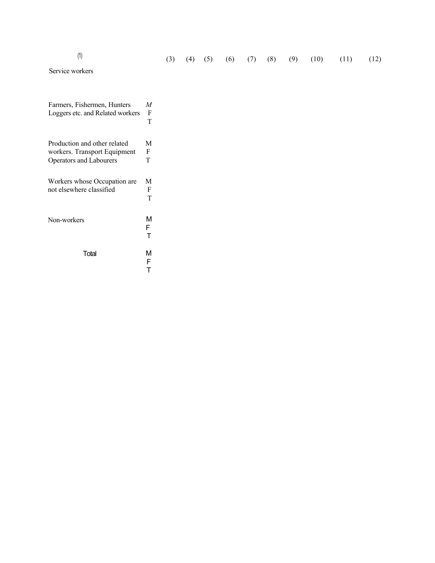| (1)                              |                           | (3) | (4) | (5) | (6) | (7) | (8) | (9) | (10) | (11) | (12) |
|----------------------------------|---------------------------|-----|-----|-----|-----|-----|-----|-----|------|------|------|
| Service workers                  |                           |     |     |     |     |     |     |     |      |      |      |
|                                  |                           |     |     |     |     |     |     |     |      |      |      |
| Farmers, Fishermen, Hunters      | $\boldsymbol{M}$          |     |     |     |     |     |     |     |      |      |      |
| Loggers etc. and Related workers | $\mathbf F$               |     |     |     |     |     |     |     |      |      |      |
|                                  | T                         |     |     |     |     |     |     |     |      |      |      |
|                                  |                           |     |     |     |     |     |     |     |      |      |      |
| Production and other related     | $\mathbf M$               |     |     |     |     |     |     |     |      |      |      |
| workers. Transport Equipment     | $\boldsymbol{\mathrm{F}}$ |     |     |     |     |     |     |     |      |      |      |
| Operators and Labourers          | T                         |     |     |     |     |     |     |     |      |      |      |
|                                  |                           |     |     |     |     |     |     |     |      |      |      |
| Workers whose Occupation are     | M                         |     |     |     |     |     |     |     |      |      |      |
| not elsewhere classified         | $\boldsymbol{\mathrm{F}}$ |     |     |     |     |     |     |     |      |      |      |
|                                  | $\mathbf T$               |     |     |     |     |     |     |     |      |      |      |
|                                  |                           |     |     |     |     |     |     |     |      |      |      |
| Non-workers                      | M                         |     |     |     |     |     |     |     |      |      |      |
|                                  | $\mathsf F$               |     |     |     |     |     |     |     |      |      |      |
|                                  | T                         |     |     |     |     |     |     |     |      |      |      |
|                                  |                           |     |     |     |     |     |     |     |      |      |      |
| Total                            | M                         |     |     |     |     |     |     |     |      |      |      |
|                                  | $\mathsf{F}$              |     |     |     |     |     |     |     |      |      |      |

T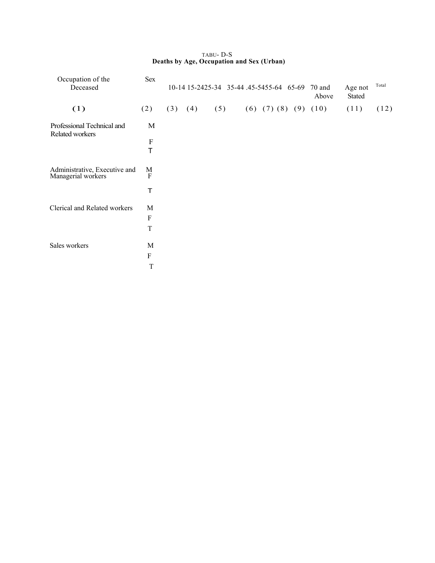| Occupation of the<br>Deceased                       | <b>Sex</b>  |     |     | 10-14 15-2425-34 35-44 .45-5455-64 65-69 |                         |  | 70 and<br>Above | Age not<br>Stated | Total |
|-----------------------------------------------------|-------------|-----|-----|------------------------------------------|-------------------------|--|-----------------|-------------------|-------|
| (1)                                                 | (2)         | (3) | (4) | (5)                                      | $(6)$ $(7)$ $(8)$ $(9)$ |  | (10)            | (11)              | (12)  |
| Professional Technical and<br>Related workers       | M           |     |     |                                          |                         |  |                 |                   |       |
|                                                     | F<br>T      |     |     |                                          |                         |  |                 |                   |       |
| Administrative, Executive and<br>Managerial workers | M<br>F      |     |     |                                          |                         |  |                 |                   |       |
|                                                     | T           |     |     |                                          |                         |  |                 |                   |       |
| <b>Clerical and Related workers</b>                 | M           |     |     |                                          |                         |  |                 |                   |       |
|                                                     | ${\bf F}$   |     |     |                                          |                         |  |                 |                   |       |
|                                                     | T           |     |     |                                          |                         |  |                 |                   |       |
| Sales workers                                       | M           |     |     |                                          |                         |  |                 |                   |       |
|                                                     | F           |     |     |                                          |                         |  |                 |                   |       |
|                                                     | $\mathbf T$ |     |     |                                          |                         |  |                 |                   |       |

#### TABU- D-S  **Deaths by Age, Occupation and Sex (Urban)**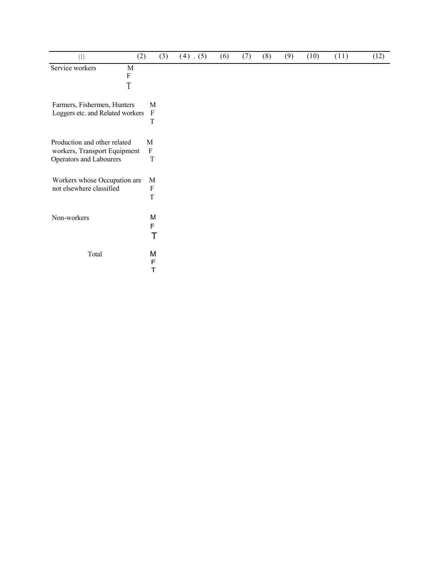| (1)                                                     | (2)                                      | (3) | $(4)$ . (5) | (6) | (7) | (8) | (9) | (10) | (11) | (12) |
|---------------------------------------------------------|------------------------------------------|-----|-------------|-----|-----|-----|-----|------|------|------|
| Service workers<br>M<br>$\boldsymbol{\mathrm{F}}$       |                                          |     |             |     |     |     |     |      |      |      |
| T                                                       |                                          |     |             |     |     |     |     |      |      |      |
| Farmers, Fishermen, Hunters                             | M                                        |     |             |     |     |     |     |      |      |      |
| Loggers etc. and Related workers                        | $\boldsymbol{F}$<br>$\mathbf T$          |     |             |     |     |     |     |      |      |      |
| Production and other related                            | M                                        |     |             |     |     |     |     |      |      |      |
| workers, Transport Equipment<br>Operators and Labourers | $\rm F$<br>T                             |     |             |     |     |     |     |      |      |      |
| Workers whose Occupation are                            | M                                        |     |             |     |     |     |     |      |      |      |
| not elsewhere classified                                | $\boldsymbol{\mathrm{F}}$<br>$\mathbf T$ |     |             |     |     |     |     |      |      |      |
| Non-workers                                             | M                                        |     |             |     |     |     |     |      |      |      |
|                                                         | $\mathsf F$                              | T   |             |     |     |     |     |      |      |      |
| Total                                                   | M                                        |     |             |     |     |     |     |      |      |      |
|                                                         | F<br>T                                   |     |             |     |     |     |     |      |      |      |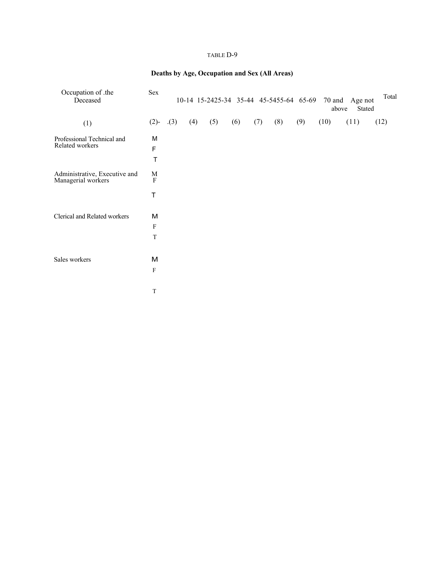#### TABLE D-9

# **Deaths by Age, Occupation and Sex (All Areas)**

| Occupation of .the<br>Deceased                      | Sex                                  |     |     |     | 10-14 15-2425-34 35-44 45-5455-64 65-69 |     |     |     |      | 70 and Age not<br>above<br>Stated | Total |
|-----------------------------------------------------|--------------------------------------|-----|-----|-----|-----------------------------------------|-----|-----|-----|------|-----------------------------------|-------|
| (1)                                                 | $(2)$ -                              | (3) | (4) | (5) | (6)                                     | (7) | (8) | (9) | (10) | (11)                              | (12)  |
| Professional Technical and<br>Related workers       | M<br>F<br>T                          |     |     |     |                                         |     |     |     |      |                                   |       |
| Administrative, Executive and<br>Managerial workers | M<br>$\boldsymbol{F}$<br>$\mathsf T$ |     |     |     |                                         |     |     |     |      |                                   |       |
| Clerical and Related workers                        | м<br>$\mathbf F$<br>$\mathbf T$      |     |     |     |                                         |     |     |     |      |                                   |       |
| Sales workers                                       | М<br>$\mathbf{F}$<br>T               |     |     |     |                                         |     |     |     |      |                                   |       |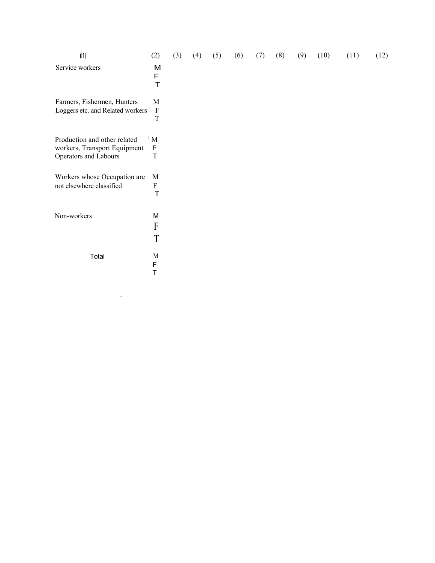| (1)                                                                                   | (2)                                           | (3) | (4) | (5) | (6) | (7) | (8) | (9) | (10) | (11) | (12) |
|---------------------------------------------------------------------------------------|-----------------------------------------------|-----|-----|-----|-----|-----|-----|-----|------|------|------|
| Service workers                                                                       | M<br>F<br>T                                   |     |     |     |     |     |     |     |      |      |      |
| Farmers, Fishermen, Hunters<br>Loggers etc. and Related workers                       | M<br>$\boldsymbol{\mathrm{F}}$<br>$\mathbf T$ |     |     |     |     |     |     |     |      |      |      |
| Production and other related<br>workers, Transport Equipment<br>Operators and Labours | $\cdot$ M<br>$\mathbf{F}$<br>T                |     |     |     |     |     |     |     |      |      |      |
| Workers whose Occupation are<br>not elsewhere classified                              | M<br>F<br>$\mathbf T$                         |     |     |     |     |     |     |     |      |      |      |
| Non-workers                                                                           | M<br>F<br>T                                   |     |     |     |     |     |     |     |      |      |      |
| Total                                                                                 | M<br>F<br>Τ                                   |     |     |     |     |     |     |     |      |      |      |

 $\mathcal{L}=\mathcal{L}^{\mathcal{L}}\left(\mathcal{L}^{\mathcal{L}}\right)$  , where  $\mathcal{L}^{\mathcal{L}}$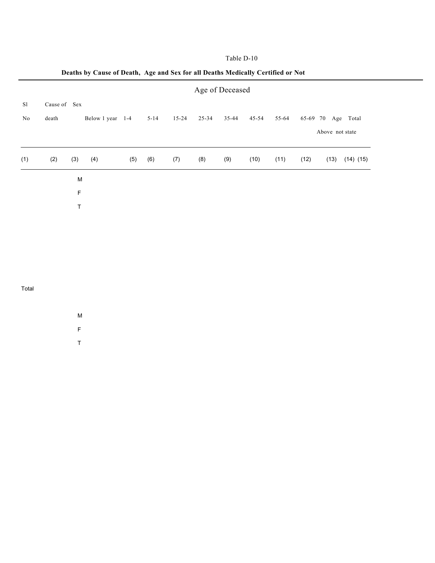|  | Table D-10 |  |  |
|--|------------|--|--|
|--|------------|--|--|

| death |     |     |                             | $5 - 14$         | $15 - 24$ | $25 - 34$ | 35-44 | $45 - 54$ | 55-64           |      |      |                                       |
|-------|-----|-----|-----------------------------|------------------|-----------|-----------|-------|-----------|-----------------|------|------|---------------------------------------|
| (2)   | (3) | (4) | (5)                         | (6)              | (7)       | (8)       | (9)   | (10)      | (11)            | (12) | (13) | $(14)$ $(15)$                         |
|       |     |     |                             |                  |           |           |       |           |                 |      |      |                                       |
|       |     |     |                             |                  |           |           |       |           |                 |      |      |                                       |
|       |     |     |                             |                  |           |           |       |           |                 |      |      |                                       |
|       |     |     | Cause of Sex<br>M<br>F<br>Τ | Below 1 year 1-4 |           |           |       |           | Age of Deceased |      |      | 65-69 70 Age Total<br>Above not state |

# **Deaths by Cause of Death, Age and Sex for all Deaths Medically Certified or Not**

#### Total

M

F

T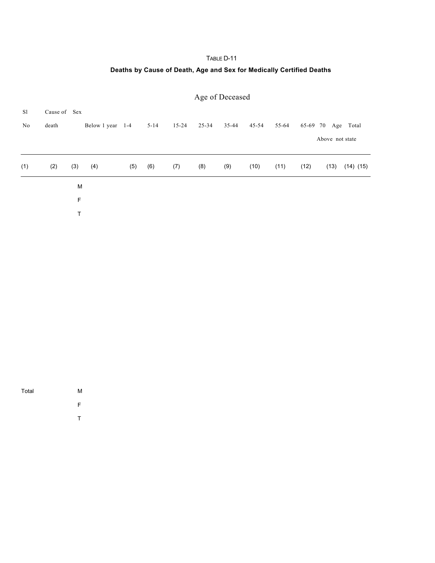# TABLE D-11

# **Deaths by Cause of Death, Age and Sex for Medically Certified Deaths**

|               |              |     |                  |     |          |           |           | Age of Deceased |       |       |      |                    |               |
|---------------|--------------|-----|------------------|-----|----------|-----------|-----------|-----------------|-------|-------|------|--------------------|---------------|
| <sub>S1</sub> | Cause of Sex |     |                  |     |          |           |           |                 |       |       |      |                    |               |
| No            | death        |     | Below 1 year 1-4 |     | $5 - 14$ | $15 - 24$ | $25 - 34$ | 35-44           | 45-54 | 55-64 |      | 65-69 70 Age Total |               |
|               |              |     |                  |     |          |           |           |                 |       |       |      | Above not state    |               |
| (1)           | (2)          | (3) | (4)              | (5) | (6)      | (7)       | (8)       | (9)             | (10)  | (11)  | (12) | (13)               | $(14)$ $(15)$ |
|               |              | M   |                  |     |          |           |           |                 |       |       |      |                    |               |
|               |              | F   |                  |     |          |           |           |                 |       |       |      |                    |               |
|               |              | Τ   |                  |     |          |           |           |                 |       |       |      |                    |               |

Total M

- F
- T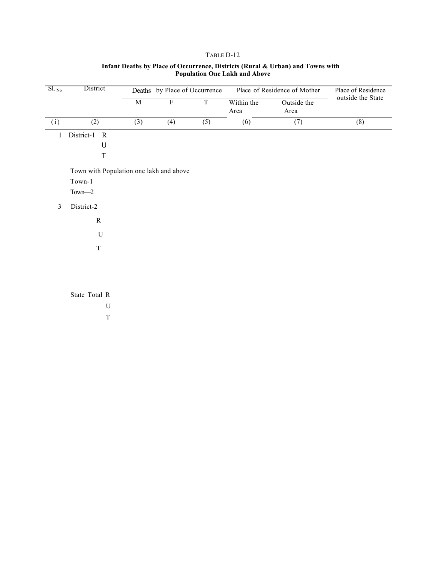#### TABLE D-12

| $SL_{N_0}$     | District                                |             | Deaths by Place of Occurrence |             |                    | Place of Residence of Mother | Place of Residence |
|----------------|-----------------------------------------|-------------|-------------------------------|-------------|--------------------|------------------------------|--------------------|
|                |                                         | $\mathbf M$ | $\boldsymbol{\mathrm{F}}$     | $\mathbf T$ | Within the<br>Area | Outside the<br>Area          | outside the State  |
| (i)            | (2)                                     | (3)         | (4)                           | (5)         | (6)                | (7)                          | (8)                |
| $\mathbf{1}$   | District-1<br>$\mathbf R$               |             |                               |             |                    |                              |                    |
|                | U                                       |             |                               |             |                    |                              |                    |
|                | T                                       |             |                               |             |                    |                              |                    |
|                | Town with Population one lakh and above |             |                               |             |                    |                              |                    |
|                | $Town-1$                                |             |                               |             |                    |                              |                    |
|                | $Town-2$                                |             |                               |             |                    |                              |                    |
| $\mathfrak{Z}$ | District-2                              |             |                               |             |                    |                              |                    |
|                | ${\bf R}$                               |             |                               |             |                    |                              |                    |
|                | $\mathbf U$                             |             |                               |             |                    |                              |                    |
|                | T                                       |             |                               |             |                    |                              |                    |
|                |                                         |             |                               |             |                    |                              |                    |
|                |                                         |             |                               |             |                    |                              |                    |
|                |                                         |             |                               |             |                    |                              |                    |
|                | State Total R                           |             |                               |             |                    |                              |                    |
|                | U                                       |             |                               |             |                    |                              |                    |
|                | $\mathbf T$                             |             |                               |             |                    |                              |                    |

#### **Infant Deaths by Place of Occurrence, Districts (Rural & Urban) and Towns with Population One Lakh and Above**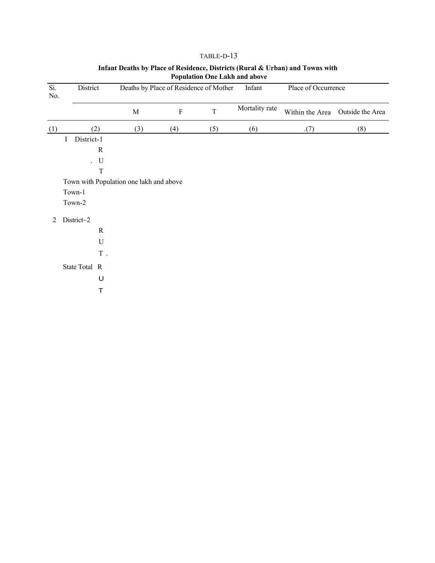| Si.<br>No. | District        |                  |                                         |             | Deaths by Place of Residence of Mother | Infant         | Place of Occurrence |                  |
|------------|-----------------|------------------|-----------------------------------------|-------------|----------------------------------------|----------------|---------------------|------------------|
|            |                 |                  | $\mathbf M$                             | $\mathbf F$ | $\mathbf T$                            | Mortality rate | Within the Area     | Outside the Area |
| (1)        |                 | (2)              | (3)                                     | (4)         | (5)                                    | (6)            | (7)                 | (8)              |
|            | District-1<br>Ι |                  |                                         |             |                                        |                |                     |                  |
|            |                 | ${\bf R}$        |                                         |             |                                        |                |                     |                  |
|            |                 | . $\,$ $\,$ $\,$ |                                         |             |                                        |                |                     |                  |
|            |                 | $\mathbf T$      |                                         |             |                                        |                |                     |                  |
|            |                 |                  | Town with Population one lakh and above |             |                                        |                |                     |                  |
|            | Town-1          |                  |                                         |             |                                        |                |                     |                  |
|            | Town-2          |                  |                                         |             |                                        |                |                     |                  |
| 2          | District~2      |                  |                                         |             |                                        |                |                     |                  |
|            |                 | $\mathbf R$      |                                         |             |                                        |                |                     |                  |
|            |                 | $\mathbf U$      |                                         |             |                                        |                |                     |                  |
|            |                 | $\mathbf T$ .    |                                         |             |                                        |                |                     |                  |
|            | State Total R   |                  |                                         |             |                                        |                |                     |                  |
|            |                 | U                |                                         |             |                                        |                |                     |                  |
|            |                 | $\top$           |                                         |             |                                        |                |                     |                  |
|            |                 |                  |                                         |             |                                        |                |                     |                  |

# TABLE-D-13 **Infant Deaths by Place of Residence, Districts (Rural & Urban) and Towns with Population One Lakh and above**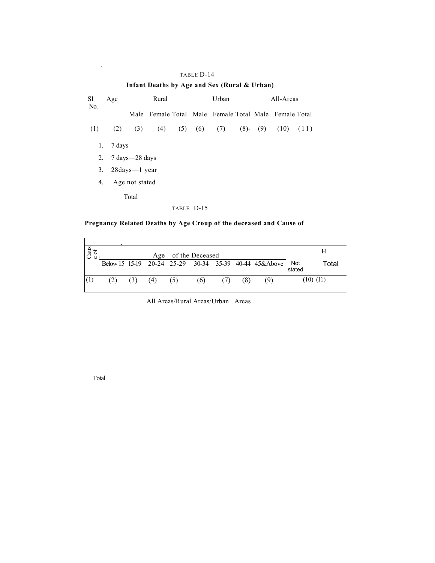#### TABLE D-14

# **Infant Deaths by Age and Sex (Rural & Urban)**

| S1<br>No. | Age    | Rural             |                                                       |            | Urban             | All-Areas     |               |  |  |
|-----------|--------|-------------------|-------------------------------------------------------|------------|-------------------|---------------|---------------|--|--|
|           |        |                   | Male Female Total Male Female Total Male Female Total |            |                   |               |               |  |  |
| (1)       | (2)    | (3)               | (4)                                                   |            | $(5)$ $(6)$ $(7)$ | $(8)$ - $(9)$ | $(10)$ $(11)$ |  |  |
| 1.        | 7 days |                   |                                                       |            |                   |               |               |  |  |
| 2.        |        | 7 days -28 days   |                                                       |            |                   |               |               |  |  |
| 3.        |        | 28 days -- 1 year |                                                       |            |                   |               |               |  |  |
| 4.        |        | Age not stated    |                                                       |            |                   |               |               |  |  |
|           |        | Total             |                                                       |            |                   |               |               |  |  |
|           |        |                   |                                                       | TABLE D-15 |                   |               |               |  |  |

# **Pregnancy Related Deaths by Age Croup of the deceased and Cause of**

| Caus<br>e of |     |     | Age |     | of the Deceased |     |     |                                                       |               | Н             |
|--------------|-----|-----|-----|-----|-----------------|-----|-----|-------------------------------------------------------|---------------|---------------|
|              |     |     |     |     |                 |     |     | Below 15 15-19 20-24 25-29 30-34 35-39 40-44 45&Above | Not<br>stated | Total         |
|              | (2) | (3) | (4) | (5) | (6)             | (7) | (8) | (9)                                                   |               | $(10)$ $(11)$ |

All Areas/Rural Areas/Urban Areas

Total

.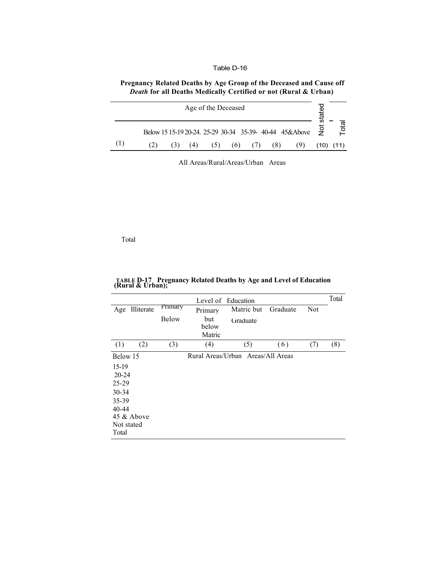#### Table D-16

# **Pregnancy Related Deaths by Age Group of the Deceased and Cause off** *Death* **for all Deaths Medically Certified or not (Rural & Urban)**

| Age of the Deceased |  |     |                                                           |     |     |     |     |      |                  |  |  |  |
|---------------------|--|-----|-----------------------------------------------------------|-----|-----|-----|-----|------|------------------|--|--|--|
|                     |  |     | Below 15 15-19 20-24. 25-29 30-34 35-39- 40-44 45&Above 2 |     |     |     |     |      | ie <sub>to</sub> |  |  |  |
|                     |  | (4) | (5)                                                       | (6) | (7) | (8) | (9) | (10) | (11)             |  |  |  |

All Areas/Rural/Areas/Urban Areas

Total

|                                                                                                             |              | Level of Education     |                                   |          |            |     |  |  |  |  |  |
|-------------------------------------------------------------------------------------------------------------|--------------|------------------------|-----------------------------------|----------|------------|-----|--|--|--|--|--|
| Illiterate<br>Age                                                                                           | Primary      | Primary                | Matric but                        | Graduate | <b>Not</b> |     |  |  |  |  |  |
|                                                                                                             | <b>Below</b> | but<br>below<br>Matric | Graduate                          |          |            |     |  |  |  |  |  |
| (2)<br>(1)                                                                                                  | (3)          | (4)                    | (5)                               | (6)      | (7)        | (8) |  |  |  |  |  |
| Below 15<br>15-19<br>$20 - 24$<br>25-29<br>30-34<br>35-39<br>$40 - 44$<br>45 & Above<br>Not stated<br>Total |              |                        | Rural Areas/Urban Areas/All Areas |          |            |     |  |  |  |  |  |

**TABLE D-17 Pregnancy Related Deaths by Age and Level of Education (Rural & Urban);**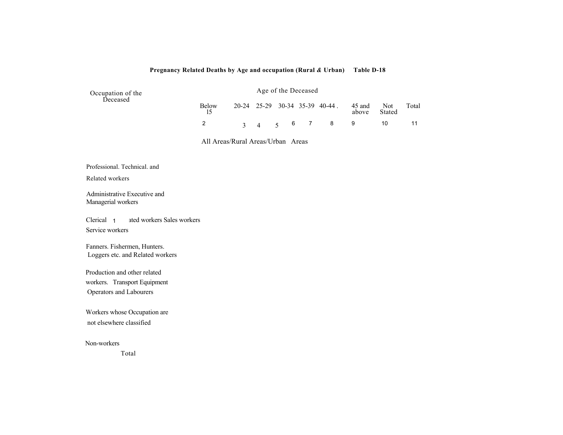#### **Pregnancy Related Deaths by Age and occupation (Rural** *&* **Urban) Table D-18**

| Occupation of the<br>Deceased | Age of the Deceased |  |  |  |   |                                |                 |               |       |
|-------------------------------|---------------------|--|--|--|---|--------------------------------|-----------------|---------------|-------|
|                               | Below<br>15         |  |  |  |   | 20-24 25-29 30-34 35-39 40-44. | 45 and<br>above | Not<br>Stated | Total |
|                               |                     |  |  |  | 6 | 7 8 9                          |                 | 10            |       |

All Areas/Rural Areas/Urban Areas

Professional. Technical. and

Related workers

Administrative Executive and Managerial workers

Clerical 1 ated workers Sales workers Service workers Clerical<sub>1</sub>

Fanners. Fishermen, Hunters. Loggers etc. and Related workers

Production and other related workers. Transport Equipment Operators and Labourers

Workers whose Occupation are not elsewhere classified

Non-workers

Total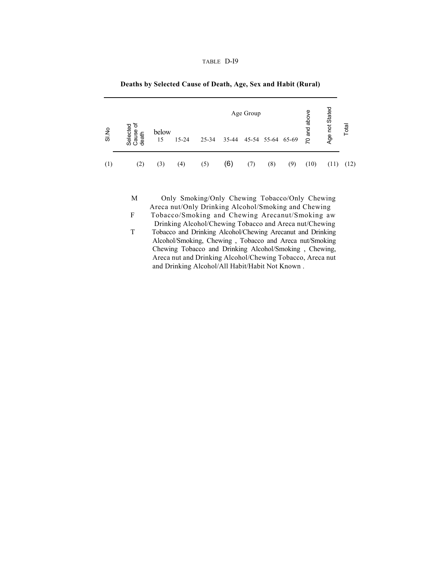| TARLE. | )-19 |
|--------|------|
|--------|------|

|       |                               |             |           |           |     | Age Group               |     |     | above  | Age not Stated |       |
|-------|-------------------------------|-------------|-----------|-----------|-----|-------------------------|-----|-----|--------|----------------|-------|
| SI.No | Selected<br>Cause of<br>death | below<br>15 | $15 - 24$ | $25 - 34$ |     | 35-44 45-54 55-64 65-69 |     |     | 70 and |                | Total |
| (1)   | (2)                           | (3)         | (4)       | (5)       | (6) | (7)                     | (8) | (9) | (10)   | (11)           | (12)  |

#### **Deaths by Selected Cause of Death, Age, Sex and Habit (Rural)**

M Only Smoking/Only Chewing Tobacco/Only Chewing Areca nut/Only Drinking Alcohol/Smoking and Chewing

F Tobacco/Smoking and Chewing Arecanut/Smoking aw Drinking Alcohol/Chewing Tobacco and Areca nut/Chewing

T Tobacco and Drinking Alcohol/Chewing Arecanut and Drinking Alcohol/Smoking, Chewing , Tobacco and Areca nut/Smoking Chewing Tobacco and Drinking Alcohol/Smoking , Chewing, Areca nut and Drinking Alcohol/Chewing Tobacco, Areca nut and Drinking Alcohol/All Habit/Habit Not Known .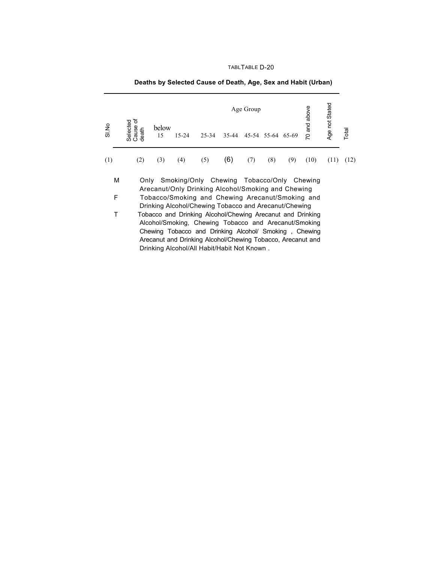# TABLTABLE D-20

|       | and above<br>Age Group                                                                                                                                                                                                                                                                                                                                                                                   |             |           |                                                                                                 |       |     |                   |     |      |                |       |
|-------|----------------------------------------------------------------------------------------------------------------------------------------------------------------------------------------------------------------------------------------------------------------------------------------------------------------------------------------------------------------------------------------------------------|-------------|-----------|-------------------------------------------------------------------------------------------------|-------|-----|-------------------|-----|------|----------------|-------|
| SI No | Cause of<br>Selected<br>death                                                                                                                                                                                                                                                                                                                                                                            | below<br>15 | $15 - 24$ | 25-34                                                                                           | 35-44 |     | 45-54 55-64 65-69 |     | S    | Age not Stated | Total |
| (1)   | (2)                                                                                                                                                                                                                                                                                                                                                                                                      | (3)         | (4)       | (5)                                                                                             | (6)   | (7) | (8)               | (9) | (10) | (11)           | (12)  |
| М     |                                                                                                                                                                                                                                                                                                                                                                                                          | Only        |           | Smoking/Only Chewing Tobacco/Only Chewing<br>Arecanut/Only Drinking Alcohol/Smoking and Chewing |       |     |                   |     |      |                |       |
| F     |                                                                                                                                                                                                                                                                                                                                                                                                          |             |           |                                                                                                 |       |     |                   |     |      |                |       |
| Т     | Tobacco/Smoking and Chewing Arecanut/Smoking and<br>Drinking Alcohol/Chewing Tobacco and Arecanut/Chewing<br>Tobacco and Drinking Alcohol/Chewing Arecanut and Drinking<br>Alcohol/Smoking, Chewing Tobacco and Arecanut/Smoking<br>Chewing Tobacco and Drinking Alcohol/ Smoking, Chewing<br>Arecanut and Drinking Alcohol/Chewing Tobacco, Arecanut and<br>Drinking Alcohol/All Habit/Habit Not Known. |             |           |                                                                                                 |       |     |                   |     |      |                |       |

# **Deaths by Selected Cause of Death, Age, Sex and Habit (Urban)**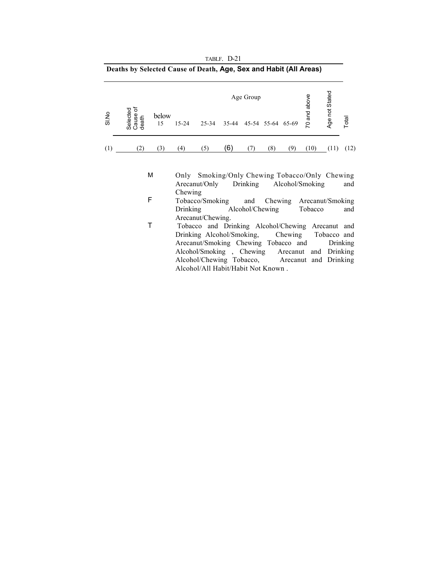|       | Deaths by Selected Cause of Death, Age, Sex and Habit (All Areas) |             |           |           |       |           |                   |     |        |                |       |
|-------|-------------------------------------------------------------------|-------------|-----------|-----------|-------|-----------|-------------------|-----|--------|----------------|-------|
|       | ৳                                                                 |             |           |           |       | Age Group |                   |     | above  | Age not Stated |       |
| SI.No | Selected<br>Cause of<br>death                                     | below<br>15 | $15 - 24$ | $25 - 34$ | 35-44 |           | 45-54 55-64 65-69 |     | 70 and |                | Total |
| (1)   | (2)                                                               | (3)         | (4)       | (5)       | (6    |           | (8)               | (9) | (10)   | (11)           | (12)  |

TABLF. D-21

M Only Smoking/Only Chewing Tobacco/Only Chewing<br>Arecanut/Only Drinking Alcohol/Smoking and Alcohol/Smoking and

- F Chewing Tobacco/Smoking and Chewing Arecanut/Smoking Drinking Alcohol/Chewing Tobacco and Arecanut/Chewing.
- T Tobacco and Drinking Alcohol/Chewing Arecanut and Drinking Alcohol/Smoking, Chewing Tobacco and<br>Arecanut/Smoking Chewing Tobacco and Drinking Arecanut/Smoking Chewing Tobacco and Alcohol/Smoking , Chewing Arecanut and Drinking Alcohol/Chewing Tobacco, Arecanut and Drinking Alcohol/All Habit/Habit Not Known .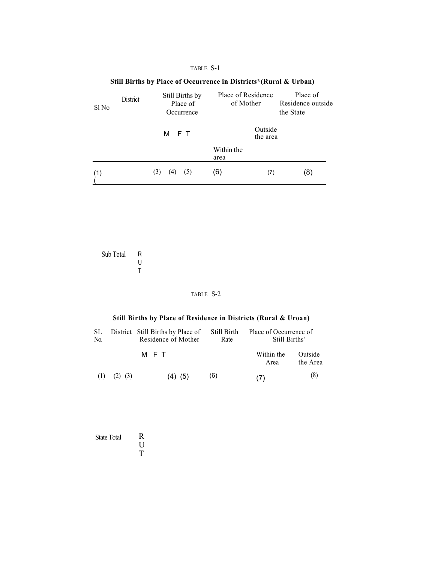## TABLE S-1

#### **Still Births by Place of Occurrence in Districts\*(Rural & Urban)** Sl No District Still Births by Place of **Occurrence**  M F T Place of Residence Place of of Mother Residence outside the State Within the area (1)  $\overline{(}$ (3) (4) (5) (6) (7) (8) Outside the area

Sub Total R U T

#### TABLE S-2

# **Still Births by Place of Residence in Districts (Rural & Uroan)**

| SL<br>No. |             | District Still Births by Place of<br>Residence of Mother | Still Birth<br>Rate | Place of Occurrence of<br>Still Births' |                     |  |  |
|-----------|-------------|----------------------------------------------------------|---------------------|-----------------------------------------|---------------------|--|--|
|           |             | M F T                                                    |                     | Within the<br>Area                      | Outside<br>the Area |  |  |
| (1)       | $(2)$ $(3)$ | $(4)$ $(5)$                                              | (6)                 | (7)                                     | (8)                 |  |  |

| <b>State Total</b> | R |
|--------------------|---|
|                    | Н |
|                    | T |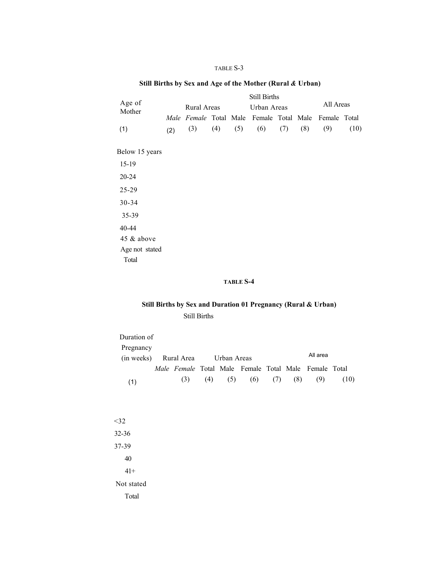## TABLE S-3

# **Still Births by Sex and Age of the Mother (Rural** *&* **Urban)**

|                  |     | <b>Still Births</b> |     |     |                                                       |     |     |           |      |  |
|------------------|-----|---------------------|-----|-----|-------------------------------------------------------|-----|-----|-----------|------|--|
| Age of<br>Mother |     | Rural Areas         |     |     | Urban Areas                                           |     |     | All Areas |      |  |
|                  |     |                     |     |     | Male Female Total Male Female Total Male Female Total |     |     |           |      |  |
| (1)              | (2) | (3)                 | (4) | (5) | (6)                                                   | (7) | (8) | (9)       | (10) |  |
|                  |     |                     |     |     |                                                       |     |     |           |      |  |
| Below 15 years   |     |                     |     |     |                                                       |     |     |           |      |  |
| $15-19$          |     |                     |     |     |                                                       |     |     |           |      |  |
| $20 - 24$        |     |                     |     |     |                                                       |     |     |           |      |  |
| 25-29            |     |                     |     |     |                                                       |     |     |           |      |  |
| 30-34            |     |                     |     |     |                                                       |     |     |           |      |  |
| 35-39            |     |                     |     |     |                                                       |     |     |           |      |  |
| 40-44            |     |                     |     |     |                                                       |     |     |           |      |  |
| 45 & above       |     |                     |     |     |                                                       |     |     |           |      |  |
| Age not stated   |     |                     |     |     |                                                       |     |     |           |      |  |
| Total            |     |                     |     |     |                                                       |     |     |           |      |  |

## **TABLE S-4**

# **Still Births by Sex and Duration 01 Pregnancy (Rural & Urban)**  Still Births

| Duration of |                                                       |     |     |     |     |     |          |      |
|-------------|-------------------------------------------------------|-----|-----|-----|-----|-----|----------|------|
| Pregnancy   |                                                       |     |     |     |     |     |          |      |
| (in weeks)  | Rural Area Urban Areas                                |     |     |     |     |     | All area |      |
|             | Male Female Total Male Female Total Male Female Total |     |     |     |     |     |          |      |
| (1)         | (3)                                                   | (4) | (5) | (6) | (7) | (8) | (9)      | (10) |
|             |                                                       |     |     |     |     |     |          |      |
|             |                                                       |     |     |     |     |     |          |      |
|             |                                                       |     |     |     |     |     |          |      |
| $<$ 32      |                                                       |     |     |     |     |     |          |      |
| $32 - 36$   |                                                       |     |     |     |     |     |          |      |
| 37-39       |                                                       |     |     |     |     |     |          |      |

40 41+ Not stated Total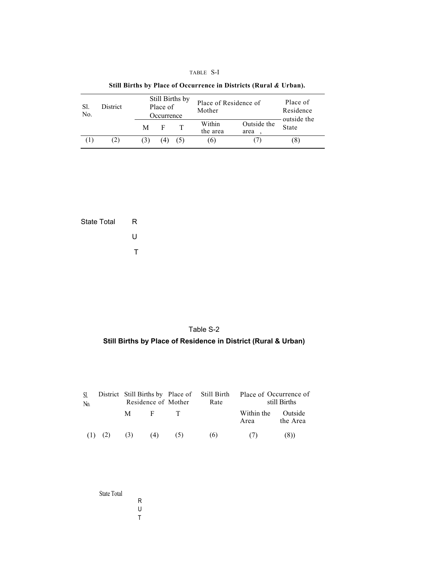# TABLE S-I

# **Still Births by Place of Occurrence in Districts (Rural** *&* **Urban).**

| -SI.<br>No. | District |     | Place of<br>Occurrence | Still Births by | Place of Residence of<br>Mother | Place of<br>Residence<br>outside the |       |
|-------------|----------|-----|------------------------|-----------------|---------------------------------|--------------------------------------|-------|
|             |          | М   | E                      |                 | Within<br>the area              | Outside the<br>area                  | State |
| (1)         | (2)      | (3) | 4)                     |                 | (6)                             |                                      | (8)   |

State Total R U T

# Table S-2

# **Still Births by Place of Residence in District (Rural & Urban)**

| SI.<br>N <sub>0</sub> | District Still Births by Place of Still Birth<br>Residence of Mother |     |                               | Rate | Place of Occurrence of<br>still Births |                     |  |  |
|-----------------------|----------------------------------------------------------------------|-----|-------------------------------|------|----------------------------------------|---------------------|--|--|
|                       |                                                                      | M F | and The                       |      | Within the<br>Area                     | Outside<br>the Area |  |  |
|                       |                                                                      |     | $(1)$ $(2)$ $(3)$ $(4)$ $(5)$ | (6)  | (7)                                    | (8)                 |  |  |

| <b>State Total</b> |   |
|--------------------|---|
|                    | R |
|                    | U |
|                    | т |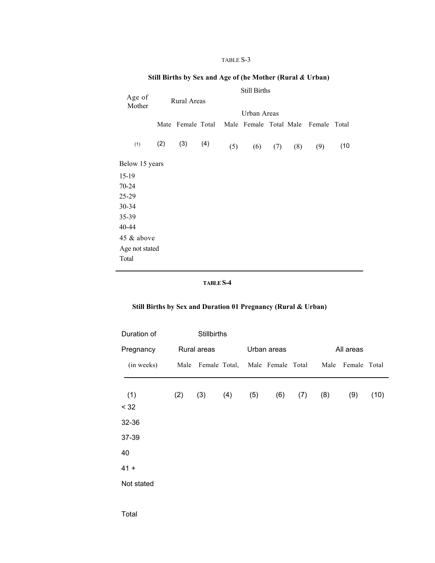#### TABLE S-3

# **Still Births by Sex and Age of (he Mother (Rural** *&* **Urban)**

Age of Mother (1) Still Births Urban Areas Mate Female Total Male Female Total Male Female Total  $(2)$   $(3)$   $(4)$ Below 15 years 15-19 70-24 25-29 30-34 35-39 40-44 45 & above Age not stated Total Rural Areas (5) (6) (7) (8) (9) (10

#### **TABLE S-4**

# **Still Births by Sex and Duration 01 Pregnancy (Rural & Urban)**

| Duration of |     | <b>Stillbirths</b>                   |     |             |     |     |           |                   |      |
|-------------|-----|--------------------------------------|-----|-------------|-----|-----|-----------|-------------------|------|
| Pregnancy   |     | Rural areas                          |     | Urban areas |     |     | All areas |                   |      |
| (in weeks)  |     | Male Female Total, Male Female Total |     |             |     |     |           | Male Female Total |      |
| (1)<br>< 32 | (2) | (3)                                  | (4) | (5)         | (6) | (7) | (8)       | (9)               | (10) |
| 32-36       |     |                                      |     |             |     |     |           |                   |      |
| 37-39       |     |                                      |     |             |     |     |           |                   |      |
| 40          |     |                                      |     |             |     |     |           |                   |      |
| $41 +$      |     |                                      |     |             |     |     |           |                   |      |
| Not stated  |     |                                      |     |             |     |     |           |                   |      |

Total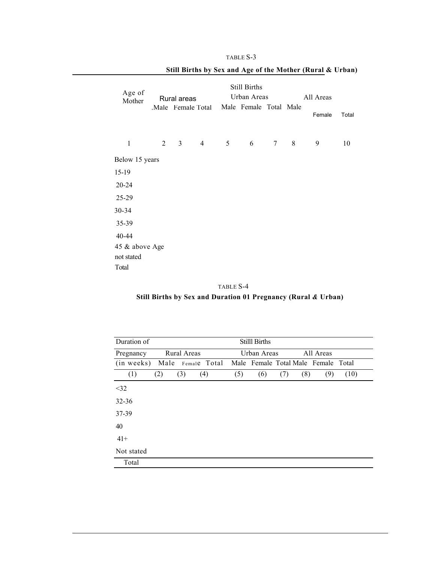|                  | <b>Still Births</b> |                |                   |                |                        |   |           |        |       |  |  |  |
|------------------|---------------------|----------------|-------------------|----------------|------------------------|---|-----------|--------|-------|--|--|--|
| Age of<br>Mother |                     | Rural areas    |                   |                | Urban Areas            |   | All Areas |        |       |  |  |  |
|                  |                     |                | Male Female Total |                | Male Female Total Male |   |           | Female | Total |  |  |  |
| $\mathbf{1}$     | $\overline{2}$      | 3 <sup>7</sup> | $\overline{4}$    | 5 <sup>5</sup> | 6                      | 7 | 8         | 9      | 10    |  |  |  |
| Below 15 years   |                     |                |                   |                |                        |   |           |        |       |  |  |  |
| 15-19            |                     |                |                   |                |                        |   |           |        |       |  |  |  |
| $20 - 24$        |                     |                |                   |                |                        |   |           |        |       |  |  |  |
| 25-29            |                     |                |                   |                |                        |   |           |        |       |  |  |  |
| 30-34            |                     |                |                   |                |                        |   |           |        |       |  |  |  |
| 35-39            |                     |                |                   |                |                        |   |           |        |       |  |  |  |
| 40-44            |                     |                |                   |                |                        |   |           |        |       |  |  |  |
| 45 & above Age   |                     |                |                   |                |                        |   |           |        |       |  |  |  |
| not stated       |                     |                |                   |                |                        |   |           |        |       |  |  |  |
| Total            |                     |                |                   |                |                        |   |           |        |       |  |  |  |

# **Still Births by Sex and Age of the Mother (Rural & Urban)**

TABLE S-3

TABLE S-4 **Still Births by Sex and Duration 01 Pregnancy (Rural** *&* **Urban)** 

| Duration of                  |     |                    |     |     | <b>Stilll Births</b> |     |     |                                     |      |  |
|------------------------------|-----|--------------------|-----|-----|----------------------|-----|-----|-------------------------------------|------|--|
| Pregnancy                    |     | <b>Rural Areas</b> |     |     | Urban Areas          |     |     | All Areas                           |      |  |
| (in weeks) Male Female Total |     |                    |     |     |                      |     |     | Male Female Total Male Female Total |      |  |
| (1)                          | (2) | (3)                | (4) | (5) | (6)                  | (7) | (8) | (9)                                 | (10) |  |
| $<$ 32                       |     |                    |     |     |                      |     |     |                                     |      |  |
| $32 - 36$                    |     |                    |     |     |                      |     |     |                                     |      |  |
| 37-39                        |     |                    |     |     |                      |     |     |                                     |      |  |
| 40                           |     |                    |     |     |                      |     |     |                                     |      |  |
| $41+$                        |     |                    |     |     |                      |     |     |                                     |      |  |
| Not stated                   |     |                    |     |     |                      |     |     |                                     |      |  |
| Total                        |     |                    |     |     |                      |     |     |                                     |      |  |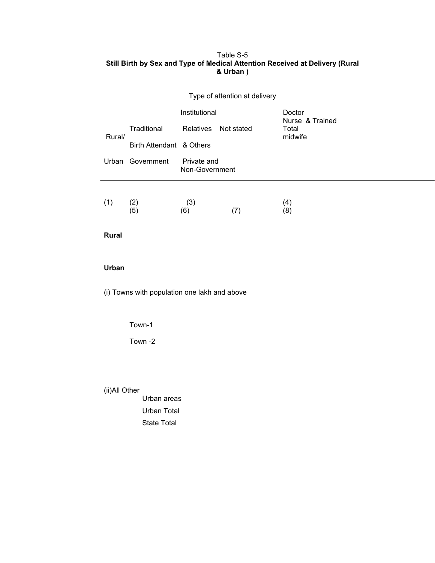# Table S-5 **Still Birth by Sex and Type of Medical Attention Received at Delivery (Rural & Urban )**

|              |                                              |                               | Type of attention at delivery |                           |
|--------------|----------------------------------------------|-------------------------------|-------------------------------|---------------------------|
|              |                                              | Institutional                 |                               | Doctor<br>Nurse & Trained |
| Rural/       | Traditional                                  | Relatives                     | Not stated                    | Total<br>midwife          |
|              | Birth Attendant & Others                     |                               |                               |                           |
|              | Urban Government                             | Private and<br>Non-Government |                               |                           |
| (1)          | (2)<br>(5)                                   | (3)<br>(6)                    | (7)                           | (4)<br>(8)                |
| <b>Rural</b> |                                              |                               |                               |                           |
| Urban        |                                              |                               |                               |                           |
|              | (i) Towns with population one lakh and above |                               |                               |                           |
|              | Town-1                                       |                               |                               |                           |
|              | Town-2                                       |                               |                               |                           |
|              |                                              |                               |                               |                           |
|              |                                              |                               |                               |                           |

(ii)All Other

Urban areas Urban Total State Total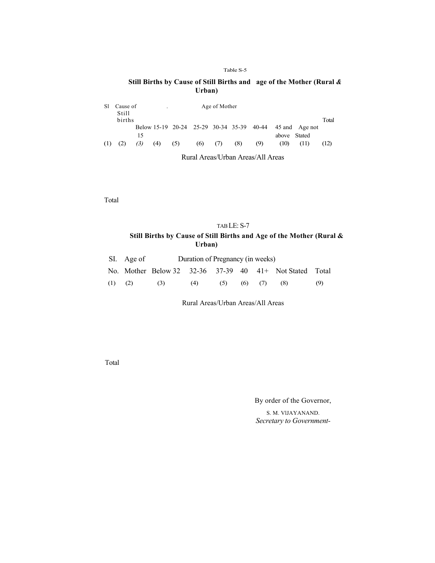#### Table S-5

## **Still Births by Cause of Still Births and age of the Mother (Rural** *&*  **Urban)**

| Sl  | Cause of<br><b>Still</b> |     | Age of Mother<br>$\overline{\phantom{a}}$ |                                           |     |     |     |     |      |                |      |
|-----|--------------------------|-----|-------------------------------------------|-------------------------------------------|-----|-----|-----|-----|------|----------------|------|
|     | births                   |     |                                           |                                           |     |     |     |     |      | Total          |      |
|     |                          |     |                                           | Below 15-19 20-24 25-29 30-34 35-39 40-44 |     |     |     |     |      | 45 and Age not |      |
|     |                          | 15  |                                           |                                           |     |     |     |     |      | Stated         |      |
| (1) | (2)                      | (3) | (4)                                       | (5)                                       | (6) | (7) | (8) | (9) | (10) | (11)           | (12) |

Rural Areas/Urban Areas/All Areas

Total

# TAB LE: S-7 **Still Births by Cause of Still Births and Age of the Mother (Rural & Urban)**

|             | SI. Age of | Duration of Pregnancy (in weeks) |     |     |  |             |                                                               |     |  |  |
|-------------|------------|----------------------------------|-----|-----|--|-------------|---------------------------------------------------------------|-----|--|--|
|             |            |                                  |     |     |  |             | No. Mother Below 32 $32-36$ $37-39$ 40 $41+$ Not Stated Total |     |  |  |
| $(1)$ $(2)$ |            | (3)                              | (4) | (5) |  | $(6)$ $(7)$ | (8)                                                           | (9) |  |  |

Rural Areas/Urban Areas/All Areas

Total

By order of the Governor,

S. M. VlJAYANAND. *Secretary to Government-*